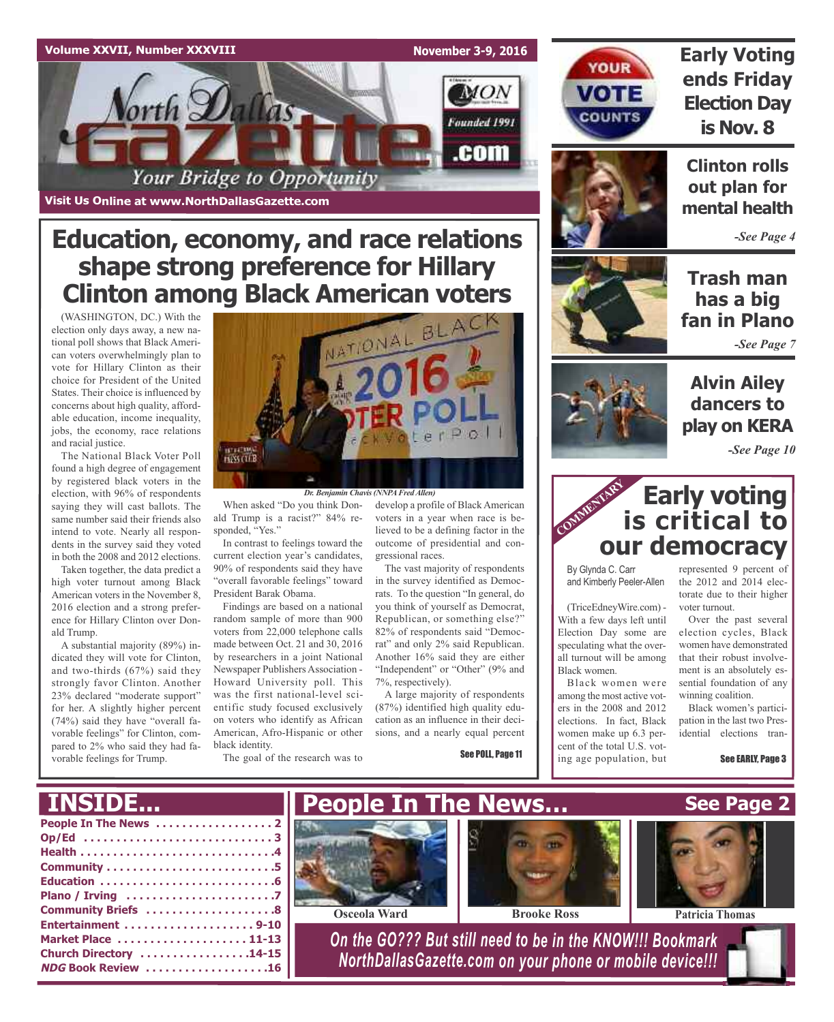

Your Bridge to Opportunity



# **Education, economy, and race relations shape strong preference for Hillary Clinton among Black American voters**

(WASHINGTON, DC.) With the election only days away, a new national poll shows that Black American voters overwhelmingly plan to vote for Hillary Clinton as their choice for President of the United States. Their choice is influenced by concerns about high quality, affordable education, income inequality, jobs, the economy, race relations and racial justice.

The National Black Voter Poll found a high degree of engagement by registered black voters in the election, with 96% of respondents saying they will cast ballots. The same number said their friends also intend to vote. Nearly all respondents in the survey said they voted in both the 2008 and 2012 elections.

Taken together, the data predict a high voter turnout among Black American voters in the November 8, 2016 election and a strong preference for Hillary Clinton over Donald Trump.

A substantial majority (89%) indicated they will vote for Clinton, and two-thirds (67%) said they strongly favor Clinton. Another 23% declared "moderate support" for her. A slightly higher percent (74%) said they have "overall favorable feelings" for Clinton, compared to 2% who said they had favorable feelings for Trump.



*Dr. Benjamin Chavis(NNPAFredAllen)*

When asked "Do you think Donald Trump is a racist?" 84% responded, "Yes."

In contrast to feelings toward the current election year's candidates, 90% of respondents said they have "overall favorable feelings" toward President Barak Obama.

Findings are based on a national random sample of more than 900 voters from 22,000 telephone calls made between Oct. 21 and 30, 2016 by researchers in a joint National Newspaper Publishers Association - Howard University poll. This was the first national-level scientific study focused exclusively on voters who identify as African American, Afro-Hispanic or other black identity.

The goal of the research was to

develop a profile of Black American voters in a year when race is believed to be a defining factor in the outcome of presidential and congressional races.

The vast majority of respondents in the survey identified as Democrats. To the question "In general, do you think of yourself as Democrat, Republican, or something else?" 82% of respondents said "Democrat" and only 2% said Republican. Another 16% said they are either "Independent" or "Other" (9% and 7%, respectively).

A large majority of respondents (87%) identified high quality education as an influence in their decisions, and a nearly equal percent

See POLL, Page 11



### **Early Voting ends Friday Election Day is Nov. 8**



**Clinton rolls out plan for mental health**

*-See Page 4*

# **Trash man has a big fan in Plano**

*-See Page 7*



### **Alvin Ailey dancers to play on KERA**

*-See Page 10*

### **Early voting is critical to our democracy** COMMENTARY RES

By Glynda C. Carr and Kimberly Peeler-Allen

(TriceEdneyWire.com) - With a few days left until Election Day some are speculating what the overall turnout will be among

Black women were among the most active voters in the 2008 and 2012 elections. In fact, Black women make up 6.3 percent of the total U.S. voting age population, but

Black women.

represented 9 percent of the 2012 and 2014 electorate due to their higher voter turnout.

Over the past several election cycles, Black women have demonstrated that their robust involvement is an absolutely essential foundation of any winning coalition.

Black women's participation in the last two Presidential elections tran-

See EARLY, Page 3

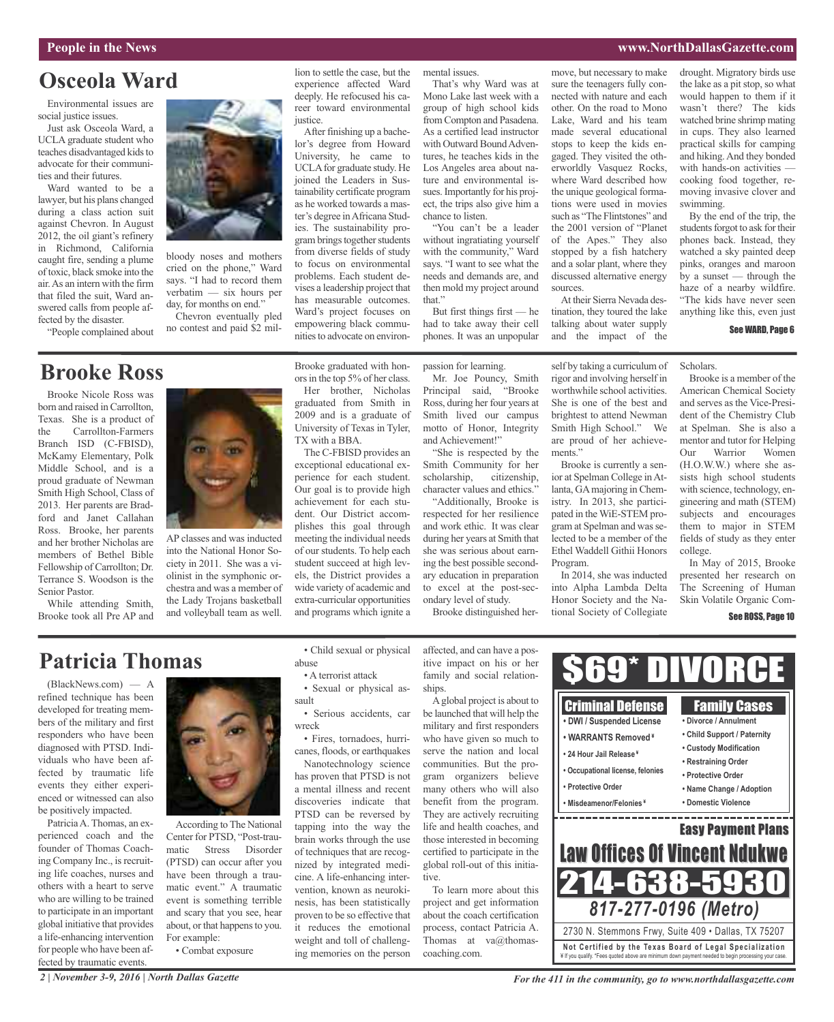#### **People in the News www.NorthDallasGazette.com**

## **Osceola Ward**

Environmental issues are social justice issues.

Just ask Osceola Ward, a UCLA graduate student who teaches disadvantaged kids to advocate for their communities and their futures.

Ward wanted to be a lawyer, but his plans changed during a class action suit against Chevron. In August 2012, the oil giant's refinery in Richmond, California caught fire, sending a plume of toxic, black smoke into the air.As an intern with the firm that filed the suit, Ward answered calls from people affected by the disaster.

"People complained about

## **Brooke Ross**

Brooke Nicole Ross was born and raised in Carrollton, Texas. She is a product of the Carrollton-Farmers Branch ISD (C-FBISD), McKamy Elementary, Polk Middle School, and is a proud graduate of Newman Smith High School, Class of 2013. Her parents are Bradford and Janet Callahan Ross. Brooke, her parents and her brother Nicholas are members of Bethel Bible Fellowship of Carrollton; Dr. Terrance S. Woodson is the Senior Pastor.

While attending Smith, Brooke took all Pre AP and



bloody noses and mothers cried on the phone," Ward says. "I had to record them verbatim — six hours per day, for months on end."

Chevron eventually pled no contest and paid \$2 mil-

AP classes and was inducted into the National Honor Society in 2011. She was a violinist in the symphonic orchestra and was a member of the Lady Trojans basketball and volleyball team as well.

lion to settle the case, but the experience affected Ward deeply. He refocused his career toward environmental justice.

After finishing up a bachelor's degree from Howard University, he came to UCLA for graduate study. He joined the Leaders in Sustainability certificate program as he worked towards a master's degree inAfricana Studies. The sustainability program brings together students from diverse fields of study to focus on environmental problems. Each student devises a leadership project that has measurable outcomes. Ward's project focuses on empowering black communities to advocate on environ-

Brooke graduated with honors in the top 5% of her class. Her brother, Nicholas graduated from Smith in 2009 and is a graduate of University of Texas in Tyler,

The C-FBISD provides an exceptional educational experience for each student. Our goal is to provide high achievement for each student. Our District accomplishes this goal through meeting the individual needs of our students. To help each student succeed at high levels, the District provides a

TX with a BBA.

mental issues.

That's why Ward was at Mono Lake last week with a group of high school kids from Compton and Pasadena. As a certified lead instructor with Outward Bound Adventures, he teaches kids in the Los Angeles area about nature and environmental issues.Importantly for his project, the trips also give him a chance to listen.

"You can't be a leader without ingratiating yourself with the community," Ward says. "I want to see what the needs and demands are, and then mold my project around that."

But first things first — he had to take away their cell phones. It was an unpopular

passion for learning.

Mr. Joe Pouncy, Smith Principal said, "Brooke Ross, during her four years at Smith lived our campus motto of Honor, Integrity and Achievement!"

"She is respected by the Smith Community for her scholarship, citizenship, character values and ethics."

"Additionally, Brooke is respected for her resilience and work ethic. It was clear during her years at Smith that she was serious about earning the best possible secondary education in preparation to excel at the post-secondary level of study.

Brooke distinguished her-

move, but necessary to make sure the teenagers fully connected with nature and each other. On the road to Mono Lake, Ward and his team made several educational stops to keep the kids engaged. They visited the otherworldly Vasquez Rocks, where Ward described how the unique geological formations were used in movies such as "The Flintstones" and the 2001 version of "Planet of the Apes." They also stopped by a fish hatchery and a solar plant, where they discussed alternative energy sources.

At their Sierra Nevada destination, they toured the lake talking about water supply and the impact of the

self by taking a curriculum of rigor and involving herself in worthwhile school activities. She is one of the best and brightest to attend Newman Smith High School." We are proud of her achieve-

Brooke is currently a senior at Spelman College inAtlanta, GAmajoring in Chemistry. In 2013, she participated in the WiE-STEM program at Spelman and was selected to be a member of the Ethel Waddell Githii Honors

In 2014, she was inducted into Alpha Lambda Delta Honor Society and the National Society of Collegiate

ments."

Program.

drought. Migratory birds use the lake as a pit stop, so what would happen to them if it wasn't there? The kids watched brine shrimp mating in cups. They also learned practical skills for camping and hiking.And they bonded with hands-on activities cooking food together, re-

moving invasive clover and swimming.

By the end of the trip, the students forgot to ask for their phones back. Instead, they watched a sky painted deep pinks, oranges and maroon by a sunset — through the haze of a nearby wildfire. "The kids have never seen anything like this, even just

#### See WARD, Page 6

Scholars.

Brooke is a member of the American Chemical Society and serves as the Vice-President of the Chemistry Club at Spelman. She is also a mentor and tutor for Helping Our Warrior Women (H.O.W.W.) where she assists high school students with science, technology, engineering and math (STEM) subjects and encourages them to major in STEM fields of study as they enter college.

In May of 2015, Brooke presented her research on The Screening of Human Skin Volatile Organic Com-

#### See ROSS, Page 10

# **Patricia Thomas**

(BlackNews.com) refined technique has been developed for treating members of the military and first responders who have been diagnosed with PTSD. Individuals who have been affected by traumatic life events they either experienced or witnessed can also be positively impacted.

PatriciaA. Thomas, an experienced coach and the founder of Thomas Coaching Company Inc., is recruiting life coaches, nurses and others with a heart to serve who are willing to be trained to participate in an important global initiative that provides a life-enhancing intervention for people who have been affected by traumatic events.



According to The National Center for PTSD, "Post-traumatic Stress Disorder (PTSD) can occur after you have been through a traumatic event." A traumatic event is something terrible and scary that you see, hear about, or that happens to you. For example:

• Combat exposure

• Child sexual or physical abuse

extra-curricular opportunities and programs which ignite a

• A terrorist attack

• Sexual or physical assault

• Serious accidents, car wreck

• Fires, tornadoes, hurricanes, floods, or earthquakes

Nanotechnology science has proven that PTSD is not a mental illness and recent discoveries indicate that PTSD can be reversed by tapping into the way the brain works through the use of techniques that are recognized by integrated medicine. A life-enhancing intervention, known as neurokinesis, has been statistically proven to be so effective that it reduces the emotional weight and toll of challenging memories on the person

affected, and can have a positive impact on his or her family and social relationships.

Aglobal project is about to be launched that will help the military and first responders who have given so much to serve the nation and local communities. But the program organizers believe many others who will also benefit from the program. They are actively recruiting life and health coaches, and those interested in becoming certified to participate in the global roll-out of this initiative.

To learn more about this project and get information about the coach certification process, contact Patricia A. Thomas at va@thomascoaching.com.

\$69\* DIVORCE Criminal Defense Family Cases **• DWI / Suspended License • Divorce / Annulment • Child Support / Paternity • WARRANTS Removed ¥ • Custody Modification • 24 Hour Jail Release ¥ • Restraining Order • Occupational license, felonies • Protective Order • Protective Order • Name Change / Adoption • Misdeamenor/Felonies ¥ • Domestic Violence** the control of the control of the control of the control of the control of \_\_\_\_\_\_\_\_\_\_\_\_ Easy Payment Plans Law Offices Of Vincent Ndukwe 214-638-5930 *817-277-0196 (Metro)* 2730 N. Stemmons Frwy, Suite 409 • Dallas, TX 75207 **Not Ce rtified by the Te x a s Boa rd of Lega l Spe c ia l i za tion** ¥ If you qualify. \*Fees quoted above are minimum down payment needed to begin processing your case.

wide variety of academic and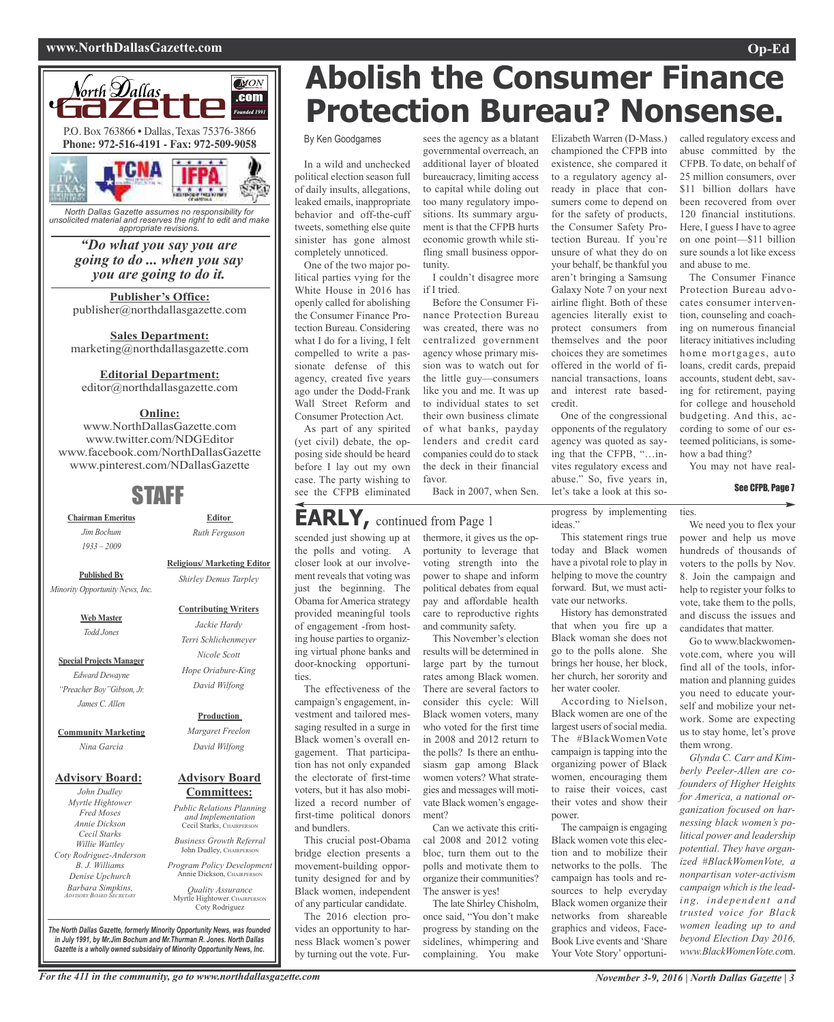#### **www.NorthDallasGazette.com Op-Ed**



*unsolicited material and reserves the right to edit and make appropriate revisions.*

#### *"Do what you say you are going to do ... when you say you are going to do it.*

**Publisher's Office:** publisher@northdallasgazette.com

**Sales Department:** marketing@northdallasgazette.com

#### **Editorial Department:**

editor@northdallasgazette.com

#### **Online:**

www.NorthDallasGazette.com www.twitter.com/NDGEditor www.facebook.com/NorthDallasGazette www.pinterest.com/NDallasGazette

### STAFF

**Chairman Emeritus** *Jim Bochum 1933 – 2009*

**Editor** *Ruth Ferguson*

**Published By** *Minority Opportunity News, Inc.*

> **Web Master** *Todd Jones*

**Special Projects Manager** *Edward Dewayne "Preacher Boy"Gibson, Jr. James C. Allen*

**Community Marketing**

*Nina Garcia*

#### **Advisory Board:**

*John Dudley Myrtle Hightower Fred Moses Annie Dickson Cecil Starks Willie Wattley Coty Rodriguez-Anderson B. J. Williams Denise Upchurch Barbara Simpkins, ADVISORY BOARD SECRETARY*

**Religious/ Marketing Editor**

*Shirley Demus Tarpley*

#### **Contributing Writers**

*Jackie Hardy Terri Schlichenmeyer Nicole Scott Hope Oriabure-King David Wilfong*

#### **Production**

*Margaret Freelon David Wilfong*

#### **Advisory Board Committees:**

*Public Relations Planning and Implementation* Cecil Starks, CHAIRPERSON

*Business Growth Referral* John Dudley, CHAIRPERSO

*Program Policy Development* Annie Dickson, CHAIRPE

*Quality Assurance* Myrtle Hightower, CHAIRPERSON Coty Rodriguez

**Abolish the Consumer Finance Protection Bureau? Nonsense.**

By Ken Goodgames

In a wild and unchecked political election season full of daily insults, allegations, leaked emails, inappropriate behavior and off-the-cuff tweets, something else quite sinister has gone almost completely unnoticed.

One of the two major political parties vying for the White House in 2016 has openly called for abolishing the Consumer Finance Protection Bureau. Considering what I do for a living, I felt compelled to write a passionate defense of this agency, created five years ago under the Dodd-Frank Wall Street Reform and Consumer Protection Act.

As part of any spirited (yet civil) debate, the opposing side should be heard before I lay out my own case. The party wishing to see the CFPB eliminated

**EARLY,** continued from Page <sup>1</sup>

scended just showing up at the polls and voting. A closer look at our involvement reveals that voting was just the beginning. The Obama for America strategy provided meaningful tools of engagement -from hosting house parties to organizing virtual phone banks and door-knocking opportunities.

The effectiveness of the campaign's engagement, investment and tailored messaging resulted in a surge in Black women's overall engagement. That participation has not only expanded the electorate of first-time voters, but it has also mobilized a record number of first-time political donors and bundlers.

This crucial post-Obama bridge election presents a movement-building opportunity designed for and by Black women, independent of any particular candidate.

The 2016 election provides an opportunity to harness Black women's power by turning out the vote. Furgovernmental overreach, an additional layer of bloated bureaucracy, limiting access to capital while doling out too many regulatory impositions. Its summary argument is that the CFPB hurts economic growth while stifling small business opportunity.

I couldn't disagree more if I tried.

Before the Consumer Finance Protection Bureau was created, there was no centralized government agency whose primary mission was to watch out for the little guy—consumers like you and me. It was up to individual states to set their own business climate of what banks, payday lenders and credit card companies could do to stack the deck in their financial favor.

Back in 2007, when Sen.

### ideas."

thermore, it gives us the opportunity to leverage that voting strength into the power to shape and inform political debates from equal pay and affordable health care to reproductive rights and community safety.

This November's election results will be determined in large part by the turnout rates among Black women. There are several factors to consider this cycle: Will Black women voters, many who voted for the first time in 2008 and 2012 return to the polls? Is there an enthusiasm gap among Black women voters? What strategies and messages will motivate Black women's engagement?

Can we activate this critical 2008 and 2012 voting bloc, turn them out to the polls and motivate them to organize their communities? The answer is yes!

The late Shirley Chisholm, once said, "You don't make progress by standing on the sidelines, whimpering and complaining. You make

sees the agency as a blatant Elizabeth Warren (D-Mass.) championed the CFPB into existence, she compared it to a regulatory agency already in place that consumers come to depend on for the safety of products, the Consumer Safety Protection Bureau. If you're unsure of what they do on your behalf, be thankful you aren't bringing a Samsung Galaxy Note 7 on your next airline flight. Both of these agencies literally exist to protect consumers from themselves and the poor choices they are sometimes offered in the world of financial transactions, loans and interest rate basedcredit.

> One of the congressional opponents of the regulatory agency was quoted as saying that the CFPB, "…invites regulatory excess and abuse." So, five years in, let's take a look at this so-

progress by implementing

This statement rings true today and Black women have a pivotal role to play in helping to move the country forward. But, we must activate our networks.

History has demonstrated that when you fire up a Black woman she does not go to the polls alone. She brings her house, her block, her church, her sorority and her water cooler.

According to Nielson, Black women are one of the largest users of social media. The #BlackWomenVote campaign is tapping into the organizing power of Black women, encouraging them to raise their voices, cast their votes and show their power.

The campaign is engaging Black women vote this election and to mobilize their networks to the polls. The campaign has tools and resources to help everyday Black women organize their networks from shareable graphics and videos, Face-Book Live events and 'Share Your Vote Story' opportunicalled regulatory excess and abuse committed by the CFPB. To date, on behalf of 25 million consumers, over \$11 billion dollars have been recovered from over 120 financial institutions. Here, I guess I have to agree on one point—\$11 billion sure sounds a lot like excess and abuse to me.

The Consumer Finance Protection Bureau advocates consumer intervention, counseling and coaching on numerous financial literacy initiatives including home mortgages, auto loans, credit cards, prepaid accounts, student debt, saving for retirement, paying for college and household budgeting. And this, according to some of our esteemed politicians, is somehow a bad thing?

You may not have real-

#### See CFPB, Page 7

ties.

We need you to flex your power and help us move hundreds of thousands of voters to the polls by Nov. 8. Join the campaign and help to register your folks to vote, take them to the polls, and discuss the issues and candidates that matter.

Go to www.blackwomenvote.com, where you will find all of the tools, information and planning guides you need to educate yourself and mobilize your network. Some are expecting us to stay home, let's prove them wrong.

*Glynda C. Carr and Kimberly Peeler-Allen are cofounders of Higher Heights for America, a national organization focused on harnessing black women's political power and leadership potential. They have organized #BlackWomenVote, a nonpartisan voter-activism campaign which is the leading, independent and trusted voice for Black women leading up to and beyond Election Day 2016, www.BlackWomenVote.co*m.

*The North Dallas Gazette, formerly Minority Opportunity News, was founded in July 1991, by Mr.Jim Bochum and Mr.Thurman R. Jones. North Dallas Gazette is a wholly owned subsidairy of Minority Opportunity News, Inc.*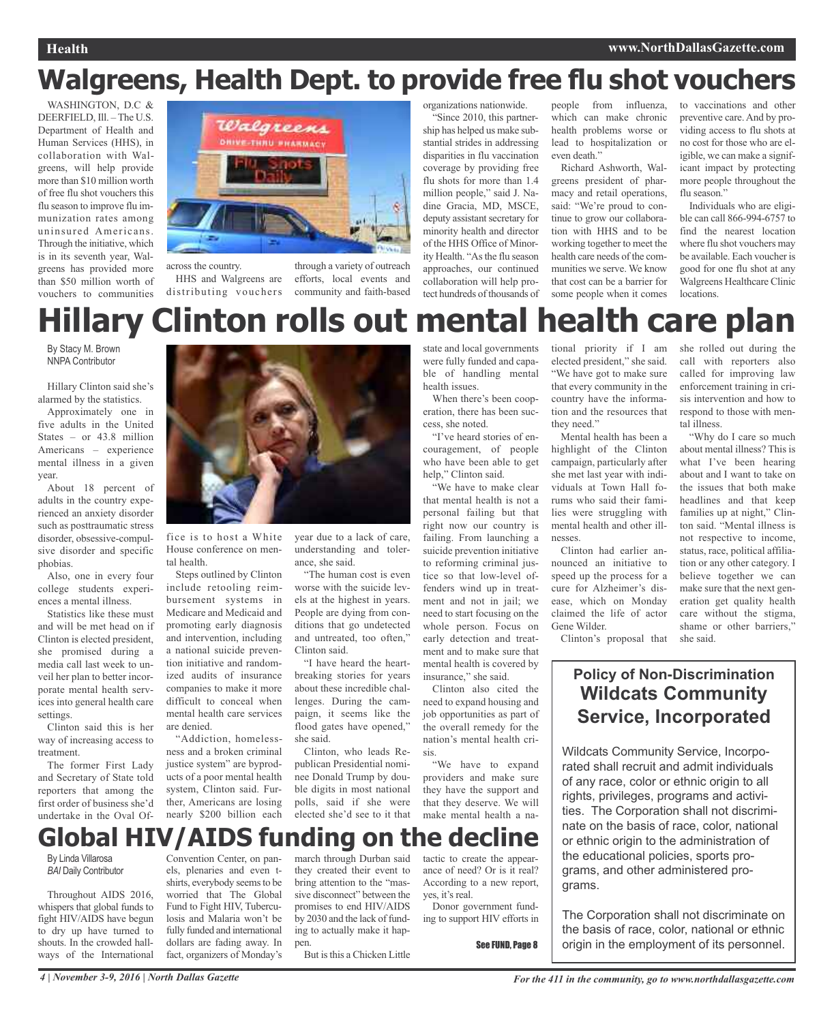# **Walgreens, Health Dept. to provide free flu shot vouchers**

WASHINGTON, D.C & DEERFIELD, Ill. – The U.S. Department of Health and Human Services (HHS), in collaboration with Walgreens, will help provide more than \$10 million worth of free flu shot vouchers this flu season to improve flu immunization rates among uninsured Americans. Through the initiative, which is in its seventh year, Walgreens has provided more than \$50 million worth of vouchers to communities



across the country. HHS and Walgreens are distributing vouchers

through a variety of outreach efforts, local events and community and faith-based organizations nationwide.

"Since 2010, this partnership has helped us make substantial strides in addressing disparities in flu vaccination coverage by providing free flu shots for more than 1.4 million people," said J. Nadine Gracia, MD, MSCE, deputy assistant secretary for minority health and director of the HHS Office of Minority Health. "As the flu season approaches, our continued collaboration will help protect hundreds of thousands of people from influenza, which can make chronic health problems worse or lead to hospitalization or even death."

Richard Ashworth, Walgreens president of pharmacy and retail operations, said: "We're proud to continue to grow our collaboration with HHS and to be working together to meet the health care needs of the communities we serve. We know that cost can be a barrier for some people when it comes

to vaccinations and other preventive care. And by providing access to flu shots at no cost for those who are eligible, we can make a significant impact by protecting more people throughout the flu season."

Individuals who are eligible can call 866-994-6757 to find the nearest location where flu shot vouchers may be available. Each voucher is good for one flu shot at any Walgreens Healthcare Clinic locations.

# **Hillary Clinton rolls out mental health care plan**

By Stacy M. Brown NNPA Contributor

Hillary Clinton said she's alarmed by the statistics.

Approximately one in five adults in the United States – or 43.8 million Americans – experience mental illness in a given year.

About 18 percent of adults in the country experienced an anxiety disorder such as posttraumatic stress disorder, obsessive-compulsive disorder and specific phobias.

Also, one in every four college students experiences a mental illness.

Statistics like these must and will be met head on if Clinton is elected president, she promised during a media call last week to unveil her plan to better incorporate mental health services into general health care settings.

Clinton said this is her way of increasing access to treatment.

The former First Lady and Secretary of State told reporters that among the first order of business she'd undertake in the Oval Of-



fice is to host a White House conference on mental health.

Steps outlined by Clinton include retooling reimbursement systems in Medicare and Medicaid and promoting early diagnosis and intervention, including a national suicide prevention initiative and randomized audits of insurance companies to make it more difficult to conceal when mental health care services are denied.

"Addiction, homelessness and a broken criminal justice system" are byproducts of a poor mental health system, Clinton said. Further, Americans are losing nearly \$200 billion each

year due to a lack of care, understanding and tolerance, she said.

"The human cost is even worse with the suicide levels at the highest in years. People are dying from conditions that go undetected and untreated, too often," Clinton said.

"I have heard the heartbreaking stories for years about these incredible challenges. During the campaign, it seems like the flood gates have opened," she said.

Clinton, who leads Republican Presidential nominee Donald Trump by double digits in most national polls, said if she were elected she'd see to it that state and local governments were fully funded and capable of handling mental health issues.

When there's been cooperation, there has been success, she noted.

"I've heard stories of encouragement, of people who have been able to get help," Clinton said.

"We have to make clear that mental health is not a personal failing but that right now our country is failing. From launching a suicide prevention initiative to reforming criminal justice so that low-level offenders wind up in treatment and not in jail; we need to start focusing on the whole person. Focus on early detection and treatment and to make sure that mental health is covered by insurance," she said.

Clinton also cited the need to expand housing and job opportunities as part of the overall remedy for the nation's mental health crisis.

"We have to expand providers and make sure they have the support and that they deserve. We will make mental health a na-

tactic to create the appearance of need? Or is it real? According to a new report,

Donor government funding to support HIV efforts in

yes, it's real.

tional priority if I am elected president," she said. "We have got to make sure that every community in the country have the information and the resources that they need."

Mental health has been a highlight of the Clinton campaign, particularly after she met last year with individuals at Town Hall forums who said their families were struggling with mental health and other illnesses.

Clinton had earlier announced an initiative to speed up the process for a cure for Alzheimer's disease, which on Monday claimed the life of actor Gene Wilder.

Clinton's proposal that

she rolled out during the call with reporters also called for improving law enforcement training in crisis intervention and how to respond to those with mental illness.

"Why do I care so much about mental illness? This is what I've been hearing about and I want to take on the issues that both make headlines and that keep families up at night," Clinton said. "Mental illness is not respective to income, status, race, political affiliation or any other category. I believe together we can make sure that the next generation get quality health care without the stigma, shame or other barriers," she said.

**Policy of Non-Discrimination Wildcats Community Service, Incorporated**

Wildcats Community Service, Incorporated shall recruit and admit individuals of any race, color or ethnic origin to all rights, privileges, programs and activities. The Corporation shall not discriminate on the basis of race, color, national or ethnic origin to the administration of the educational policies, sports programs, and other administered programs.

The Corporation shall not discriminate on the basis of race, color, national or ethnic origin in the employment of its personnel.

# **Global HIV/AIDS funding on the decline**

By Linda Villarosa *BAI* Daily Contributor

Throughout AIDS 2016, whispers that global funds to fight HIV/AIDS have begun to dry up have turned to shouts. In the crowded hallways of the International

Convention Center, on panels, plenaries and even tshirts, everybody seems to be worried that The Global Fund to Fight HIV, Tuberculosis and Malaria won't be fully funded and international dollars are fading away. In fact, organizers of Monday's march through Durban said they created their event to bring attention to the "massive disconnect" between the promises to end HIV/AIDS by 2030 and the lack of funding to actually make it happen.

But isthis a Chicken Little

See FUND, Page 8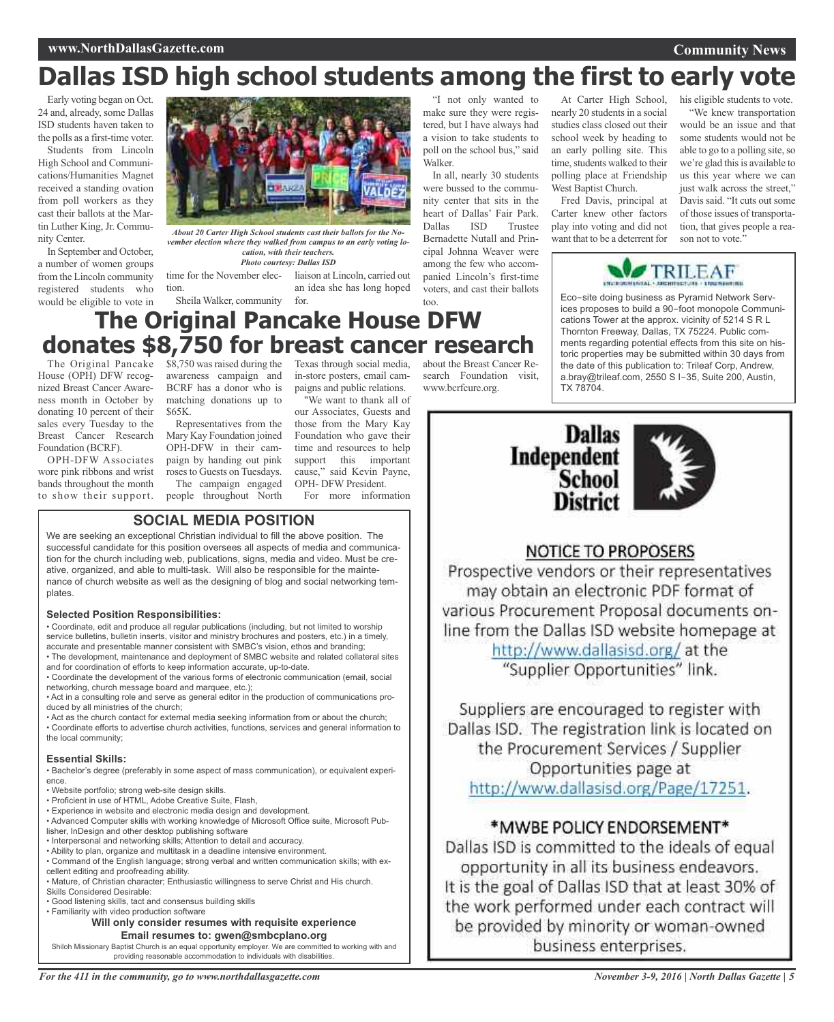### **Dallas ISD high school students among the first to early vote** his eligible students to vote.

Early voting began on Oct. 24 and, already, some Dallas ISD students haven taken to the polls as a first-time voter.

Students from Lincoln High School and Communications/Humanities Magnet received a standing ovation from poll workers as they cast their ballots at the Martin Luther King, Jr. Community Center.

In September and October, a number of women groups from the Lincoln community registered students who would be eligible to vote in

*About 20 Carter High School students cast their ballots for the No-*<br>vember election where they walked from campus to an early voting lo-<br>Bernadette Nutall and Prin- want that to be a deterrent for son not to vote." *cation, with their teachers.*

*Photo courtesy: Dallas ISD*

tion. Sheila Walker, community for.

time for the November elec-liaison at Lincoln, carried out an idea she has long hoped

"I not only wanted to make sure they were registered, but I have always had a vision to take students to poll on the school bus," said Walker.

In all, nearly 30 students were bussed to the community center that sits in the heart of Dallas' Fair Park.<br>Dallas ISD Trustee Dallas ISD Trustee Bernadette Nutall and Principal Johnna Weaver were among the few who accompanied Lincoln's first-time voters, and cast their ballots

search Foundation visit,

www.bcrfcure.org.

too.

At Carter High School, nearly 20 students in a social studies class closed out their school week by heading to an early polling site. This time, students walked to their polling place at Friendship West Baptist Church.

Fred Davis, principal at Carter knew other factors play into voting and did not want that to be a deterrent for

"We knew transportation would be an issue and that some students would not be able to go to a polling site, so we're glad this is available to us this year where we can just walk across the street," Davis said. "It cuts out some of those issues of transportation, that gives people a rea-

**Community News**



Eco-site doing business as Pyramid Network Services proposes to build a 90-foot monopole Communications Tower at the approx. vicinity of 5214 S R L Thornton Freeway, Dallas, TX 75224. Public comments regarding potential effects from this site on historic properties may be submitted within 30 days from the date of this publication to: Trileaf Corp, Andrew, a.bray@trileaf.com, 2550 S I-35, Suite 200, Austin, TX 78704.





### **NOTICE TO PROPOSERS**

Prospective vendors or their representatives may obtain an electronic PDF format of various Procurement Proposal documents online from the Dallas ISD website homepage at http://www.dallasisd.org/ at the "Supplier Opportunities" link.

Suppliers are encouraged to register with Dallas ISD. The registration link is located on the Procurement Services / Supplier Opportunities page at http://www.dallasisd.org/Page/17251.

#### \*MWBE POLICY ENDORSEMENT\*

Dallas ISD is committed to the ideals of equal opportunity in all its business endeavors. It is the goal of Dallas ISD that at least 30% of the work performed under each contract will be provided by minority or woman-owned business enterprises.

#### Texas through social media, about the Breast Cancer Re-**The Original Pancake House DFW donates \$8,750 for breast cancer research**

The Original Pancake House (OPH) DFW recognized Breast Cancer Awareness month in October by donating 10 percent of their sales every Tuesday to the Breast Cancer Research Foundation (BCRF).

OPH-DFW Associates wore pink ribbons and wrist bands throughout the month to show their support. \$8,750 was raised during the awareness campaign and BCRF has a donor who is matching donations up to \$65K.

Representatives from the Mary Kay Foundation joined OPH-DFW in their campaign by handing out pink roses to Guests on Tuesdays. The campaign engaged people throughout North

in-store posters, email campaigns and public relations.

"We want to thank all of our Associates, Guests and those from the Mary Kay Foundation who gave their time and resources to help support this important cause," said Kevin Payne, OPH- DFW President.

For more information

#### **SOCIAL MEDIA POSITION**

We are seeking an exceptional Christian individual to fill the above position. The successful candidate for this position oversees all aspects of media and communication for the church including web, publications, signs, media and video. Must be creative, organized, and able to multi-task. Will also be responsible for the maintenance of church website as well as the designing of blog and social networking templates.

#### **Selected Position Responsibilities:**

• Coordinate, edit and produce all regular publications (including, but not limited to worship service bulletins, bulletin inserts, visitor and ministry brochures and posters, etc.) in a timely, accurate and presentable manner consistent with SMBC's vision, ethos and branding;

- The development, maintenance and deployment of SMBC website and related collateral sites and for coordination of efforts to keep information accurate, up-to-date.
- Coordinate the development of the various forms of electronic communication (email, social networking, church message board and marquee, etc.);
- Act in a consulting role and serve as general editor in the production of communications produced by all ministries of the church;
- Act as the church contact for external media seeking information from or about the church;
- Coordinate efforts to advertise church activities, functions, services and general information to the local community;

#### **Essential Skills:**

• Bachelor's degree (preferably in some aspect of mass communication), or equivalent experience.

- Website portfolio; strong web-site design skills.
- Proficient in use of HTML, Adobe Creative Suite, Flash,
- Experience in website and electronic media design and development.
- Advanced Computer skills with working knowledge of Microsoft Office suite, Microsoft Publisher, InDesign and other desktop publishing software • Interpersonal and networking skills; Attention to detail and accuracy.
- 
- Ability to plan, organize and multitask in a deadline intensive environment. • Command of the English language; strong verbal and written communication skills; with ex-
- cellent editing and proofreading ability. • Mature, of Christian character; Enthusiastic willingness to serve Christ and His church.
- Skills Considered Desirable:
- Good listening skills, tact and consensus building skills • Familiarity with video production software

#### **Will only consider resumes with requisite experience Email resumes to: gwen@smbcplano.org**

Shiloh Missionary Baptist Church is an equal opportunity employer. We are committed to working with and providing reasonable accommodation to individuals with disabilities.

*For the 411 in the community, go to www.northdallasgazette.com*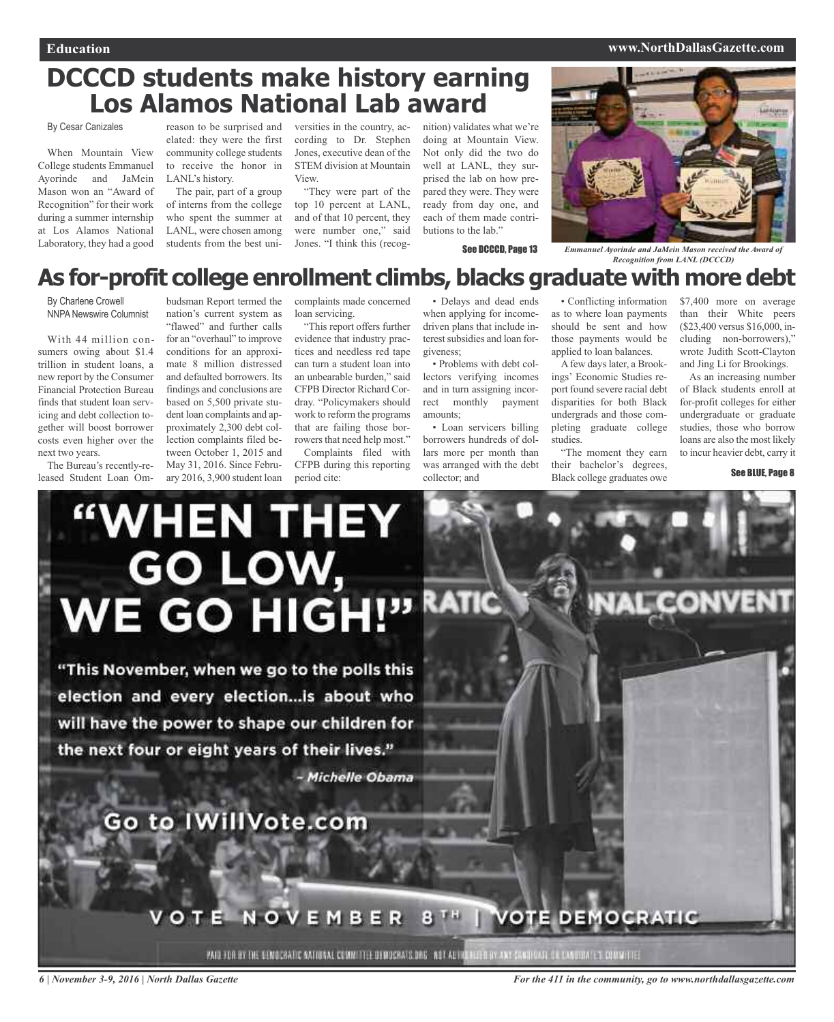#### **Education www.NorthDallasGazette.com**

# **DCCCD students make history earning Los Alamos National Lab award**

#### By Cesar Canizales

When Mountain View College students Emmanuel Ayorinde and JaMein Mason won an "Award of Recognition" for their work during a summer internship at Los Alamos National Laboratory, they had a good

reason to be surprised and elated: they were the first community college students to receive the honor in LANL's history.

The pair, part of a group of interns from the college who spent the summer at LANL, were chosen among students from the best uni-

versities in the country, according to Dr. Stephen Jones, executive dean of the STEM division at Mountain View.

"They were part of the top 10 percent at LANL, and of that 10 percent, they were number one," said Jones. "I think this (recognition) validates what we're doing at Mountain View. Not only did the two do well at LANL, they surprised the lab on how prepared they were. They were ready from day one, and each of them made contributions to the lab."



See DCCCD, Page 13

*Recognition from LANL (DCCCD)*

### **As for-profit college enrollment climbs, blacks graduate with more debt**

By Charlene Crowell NNPA Newswire Columnist

With 44 million consumers owing about \$1.4 trillion in student loans, a new report by the Consumer Financial Protection Bureau finds that student loan servicing and debt collection together will boost borrower costs even higher over the next two years.

The Bureau's recently-released Student Loan Om-

budsman Report termed the nation's current system as "flawed" and further calls for an "overhaul" to improve conditions for an approximate 8 million distressed and defaulted borrowers. Its findings and conclusions are based on 5,500 private student loan complaints and approximately 2,300 debt collection complaints filed between October 1, 2015 and May 31, 2016. Since February 2016, 3,900 student loan

complaints made concerned loan servicing.

"This report offers further evidence that industry practices and needless red tape can turn a student loan into an unbearable burden," said CFPB Director Richard Cordray. "Policymakers should work to reform the programs that are failing those borrowers that need help most."

Complaints filed with CFPB during this reporting period cite:

• Delays and dead ends when applying for incomedriven plans that include interest subsidies and loan forgiveness;

• Problems with debt collectors verifying incomes and in turn assigning incorrect monthly payment amounts;

• Loan servicers billing borrowers hundreds of dollars more per month than was arranged with the debt collector; and

• Conflicting information as to where loan payments should be sent and how those payments would be applied to loan balances.

Afew days later, a Brookings' Economic Studies report found severe racial debt disparities for both Black undergrads and those completing graduate college studies.

"The moment they earn their bachelor's degrees, Black college graduates owe

\$7,400 more on average than their White peers (\$23,400 versus \$16,000, including non-borrowers)," wrote Judith Scott-Clayton and Jing Li for Brookings.

As an increasing number of Black students enroll at for-profit colleges for either undergraduate or graduate studies, those who borrow loans are also the most likely to incur heavier debt, carry it

See BLUE, Page 8

# "WHEN THEY **GO LOW,<br>WE GO HIGH!" RATIC**

"This November, when we go to the polls this election and every election... is about who will have the power to shape our children for the next four or eight years of their lives."

**Michelle Obama** 

# Go to IWillVote.com

**VOTE DEMOCRATIC NOVEMBER** g,

PAID FOR BY THE GENOCHATIC NATIONAL COMMITTEE DEMOCRATS.DNG. WET AGRICULTED BY ANY CRAITIOATE OR CANDIDATED COMMITTEE.

*6 | November 3-9, 2016 | North Dallas Gazette*

*For the 411 in the community, go to www.northdallasgazette.com*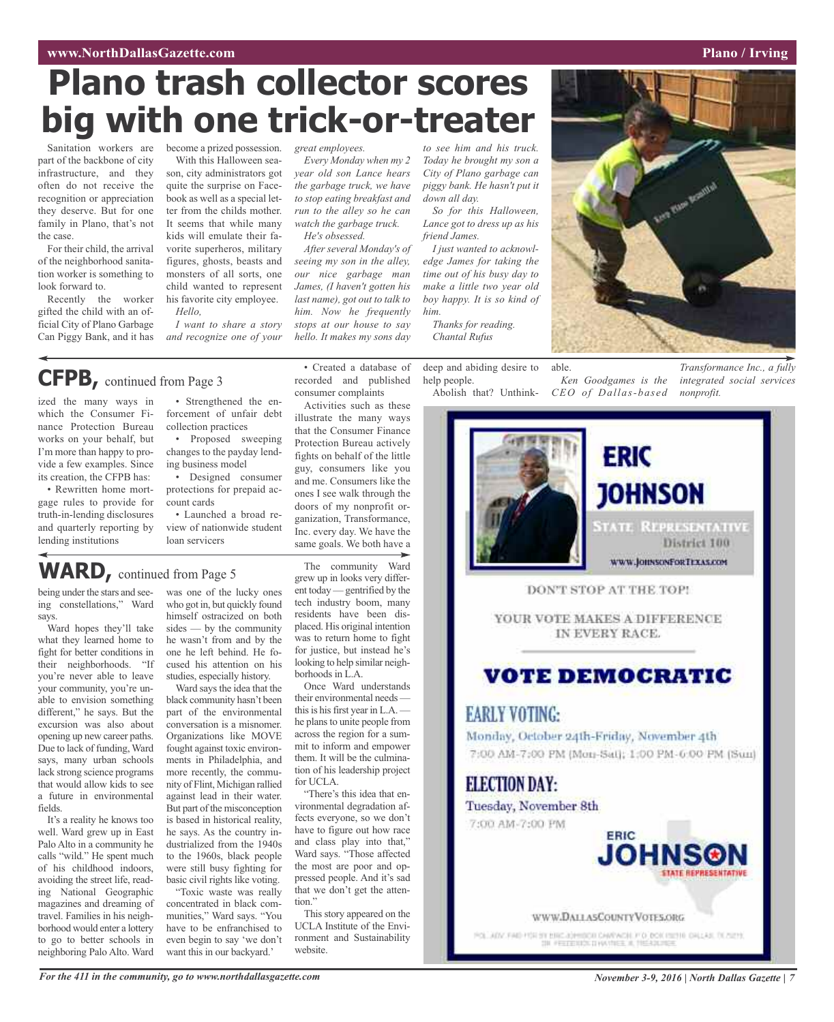#### **www.NorthDallasGazette.com Plano / Irving**

# **Plano trash collector scores big with one trick-or-treater**

Sanitation workers are part of the backbone of city infrastructure, and they often do not receive the recognition or appreciation they deserve. But for one family in Plano, that's not the case.

For their child, the arrival of the neighborhood sanitation worker is something to look forward to.

Recently the worker gifted the child with an official City of Plano Garbage Can Piggy Bank, and it has

become a prized possession. *great employees.* With this Halloween season, city administrators got quite the surprise on Facebook as well as a special letter from the childs mother. It seems that while many kids will emulate their favorite superheros, military figures, ghosts, beasts and monsters of all sorts, one child wanted to represent his favorite city employee.

*Hello, I want to share a story and recognize one of your*

# **CFPB,** continued from Page <sup>3</sup>

ized the many ways in which the Consumer Finance Protection Bureau works on your behalf, but I'm more than happy to provide a few examples. Since its creation, the CFPB has:

• Rewritten home mortgage rules to provide for truth-in-lending disclosures and quarterly reporting by lending institutions

• Strengthened the enforcement of unfair debt collection practices

• Proposed sweeping changes to the payday lending business model

• Designed consumer protections for prepaid ac-

view of nationwide student loan servicers

# count cards

• Launched a broad re-

# **WARD,** continued from Page <sup>5</sup>

being under the stars and seeing constellations," Ward says.

Ward hopes they'll take what they learned home to fight for better conditions in their neighborhoods. "If you're never able to leave your community, you're unable to envision something different," he says. But the excursion was also about opening up new career paths. Due to lack of funding, Ward says, many urban schools lack strong science programs that would allow kids to see a future in environmental fields.

It's a reality he knows too well. Ward grew up in East Palo Alto in a community he calls "wild." He spent much of his childhood indoors, avoiding the street life, reading National Geographic magazines and dreaming of travel. Families in his neighborhood would enter a lottery to go to better schools in neighboring Palo Alto. Ward

was one of the lucky ones who got in, but quickly found himself ostracized on both sides — by the community he wasn't from and by the one he left behind. He focused his attention on his studies, especially history.

Ward says the idea that the black community hasn't been part of the environmental conversation is a misnomer. Organizations like MOVE fought against toxic environments in Philadelphia, and more recently, the community of Flint, Michigan rallied against lead in their water. But part of the misconception is based in historical reality, he says. As the country industrialized from the 1940s to the 1960s, black people were still busy fighting for basic civil rights like voting.

"Toxic waste was really concentrated in black communities," Ward says. "You have to be enfranchised to even begin to say 'we don't want this in our backyard.'

*Every Monday when my 2 year old son Lance hears the garbage truck, we have to stop eating breakfast and run to the alley so he can watch the garbage truck. He's obsessed.*

*After several Monday's of seeing my son in the alley, our nice garbage man James, (I haven't gotten his last name), got out to talk to him. Now he frequently stops at our house to say hello. It makes my sons day*

• Created a database of recorded and published consumer complaints

Activities such as these illustrate the many ways that the Consumer Finance Protection Bureau actively fights on behalf of the little guy, consumers like you and me. Consumers like the ones I see walk through the doors of my nonprofit organization, Transformance, Inc. every day. We have the same goals. We both have a

The community Ward grew up in looks very different today — gentrified by the tech industry boom, many residents have been displaced. His original intention was to return home to fight for justice, but instead he's looking to help similar neighborhoods in L.A.

Once Ward understands their environmental needs this is his first year in  $L.A.$  he plans to unite people from across the region for a summit to inform and empower them. It will be the culmination of his leadership project for UCLA

"There's this idea that environmental degradation affects everyone, so we don't have to figure out how race and class play into that," Ward says. "Those affected the most are poor and oppressed people. And it's sad that we don't get the attention."

This story appeared on the UCLA Institute of the Environment and Sustainability website.

*to see him and his truck. Today he brought my son a City of Plano garbage can piggy bank. He hasn't put it down all day.*

*So for this Halloween, Lance got to dress up as his friend James.*

*I just wanted to acknowledge James for taking the time out of his busy day to make a little two year old boy happy. It is so kind of him.*

deep and abiding desire to

able.

Abolish that? Unthink-

*CEO of Dallas-based Transformance Inc., a fully integrated social services nonprofit.*



#### WWW.DALLASCOUNTYVOTES.ORG

POLJADV FAID FOR BY BRICADINION CHARACHLY O DOCTOR ORLEAN, DEBUTE

help people. *Thanks for reading. Chantal Rufus*

*Ken Goodgames is the*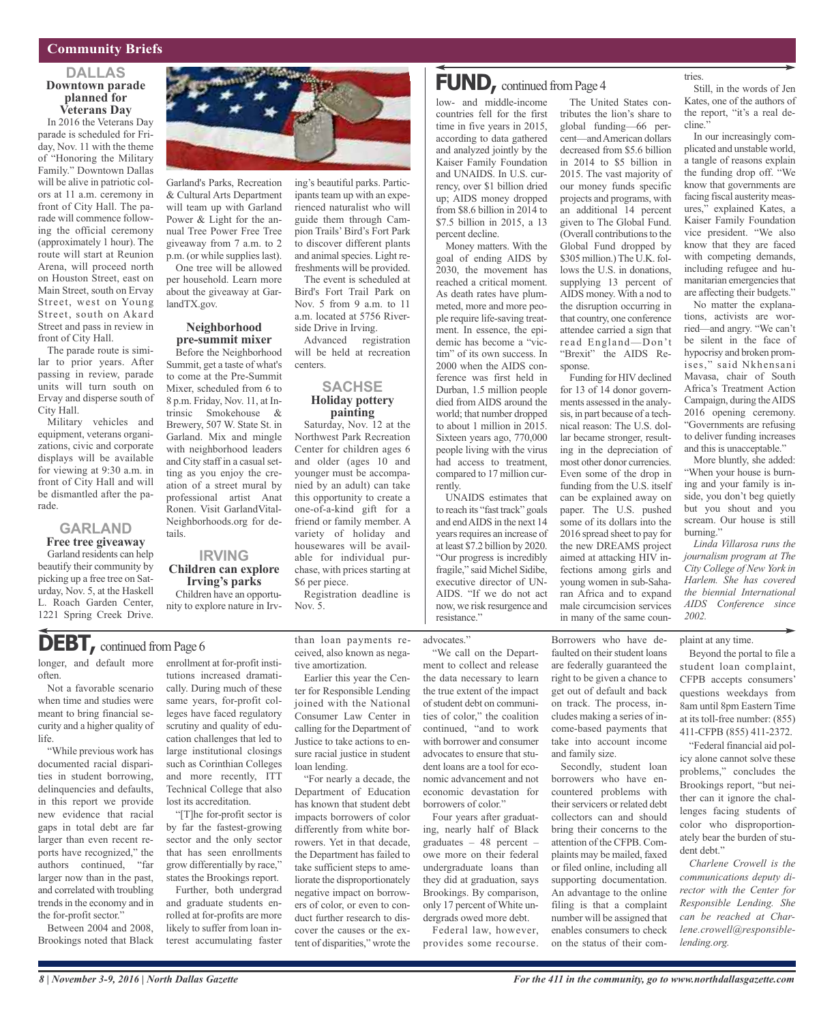#### **DALLAS Downtown parade planned for Veterans Day**

In 2016 the Veterans Day parade is scheduled for Friday, Nov. 11 with the theme of "Honoring the Military Family." Downtown Dallas will be alive in patriotic colors at 11 a.m. ceremony in front of City Hall. The parade will commence following the official ceremony (approximately 1 hour). The route will start at Reunion Arena, will proceed north on Houston Street, east on Main Street, south on Ervay Street, west on Young Street, south on Akard Street and pass in review in front of City Hall.

The parade route is similar to prior years. After passing in review, parade units will turn south on Ervay and disperse south of City Hall.

Military vehicles and equipment, veterans organizations, civic and corporate displays will be available for viewing at 9:30 a.m. in front of City Hall and will be dismantled after the parade.

#### **GARLAND Free tree giveaway**

Garland residents can help beautify their community by picking up a free tree on Saturday, Nov. 5, at the Haskell L. Roach Garden Center, 1221 Spring Creek Drive.



Garland's Parks, Recreation & Cultural Arts Department will team up with Garland Power & Light for the annual Tree Power Free Tree giveaway from 7 a.m. to 2 p.m. (or while supplies last). One tree will be allowed

per household. Learn more about the giveaway at GarlandTX.gov.

#### **Neighborhood pre-summit mixer**

Before the Neighborhood Summit, get a taste of what's to come at the Pre-Summit Mixer, scheduled from 6 to 8 p.m. Friday, Nov. 11, at Intrinsic Smokehouse & Brewery, 507 W. State St. in Garland. Mix and mingle with neighborhood leaders and City staff in a casual setting as you enjoy the creation of a street mural by professional artist Anat Ronen. Visit GarlandVital-Neighborhoods.org for details.

#### **IRVING Children can explore Irving's parks**

Children have an opportunity to explore nature in Irving's beautiful parks. Participants team up with an experienced naturalist who will guide them through Campion Trails'Bird's Fort Park to discover different plants and animal species. Light refreshments will be provided.

The event is scheduled at Bird's Fort Trail Park on Nov. 5 from 9 a.m. to 11 a.m. located at 5756 Riverside Drive in Irving.

Advanced registration will be held at recreation centers.

#### **SACHSE Holiday pottery painting**

Saturday, Nov. 12 at the Northwest Park Recreation Center for children ages 6 and older (ages 10 and younger must be accompanied by an adult) can take this opportunity to create a one-of-a-kind gift for a friend or family member. A variety of holiday and housewares will be available for individual purchase, with prices starting at \$6 per piece.

Registration deadline is Nov. 5.

calling for the Department of Justice to take actions to ensure racial justice in student

"For nearly a decade, the Department of Education has known that student debt impacts borrowers of color differently from white borrowers. Yet in that decade, the Department has failed to take sufficient steps to ameliorate the disproportionately negative impact on borrowers of color, or even to conduct further research to discover the causes or the extent of disparities," wrote the

loan lending.

# **FUND,** continued fromPage <sup>4</sup>

low- and middle-income countries fell for the first time in five years in 2015, according to data gathered and analyzed jointly by the Kaiser Family Foundation and UNAIDS. In U.S. currency, over \$1 billion dried up; AIDS money dropped from \$8.6 billion in 2014 to \$7.5 billion in 2015, a 13 percent decline.

Money matters. With the goal of ending AIDS by 2030, the movement has reached a critical moment. As death rates have plummeted, more and more people require life-saving treatment. In essence, the epidemic has become a "victim" of its own success. In 2000 when the AIDS conference was first held in Durban, 1.5 million people died from AIDS around the world; that number dropped to about 1 million in 2015. Sixteen years ago, 770,000 people living with the virus had access to treatment. compared to 17 million currently.

UNAIDS estimates that to reach its "fast track" goals and endAIDS in the next 14 years requires an increase of at least \$7.2 billion by 2020. "Our progress is incredibly fragile," said Michel Sidibe, executive director of UN-AIDS. "If we do not act now, we risk resurgence and resistance."

advocates."

longer, and default more enrollment at for-profit insti-**DEBT**, continued from Page 6

Not a favorable scenario when time and studies were meant to bring financial security and a higher quality of life.

often.

"While previous work has documented racial disparities in student borrowing, delinquencies and defaults, in this report we provide new evidence that racial gaps in total debt are far larger than even recent reports have recognized," the authors continued, "far larger now than in the past, and correlated with troubling trends in the economy and in the for-profit sector."

Between 2004 and 2008, Brookings noted that Black

tutions increased dramatically. During much of these same years, for-profit colleges have faced regulatory scrutiny and quality of education challenges that led to large institutional closings such as Corinthian Colleges and more recently, ITT Technical College that also lost its accreditation.

"[T]he for-profit sector is by far the fastest-growing sector and the only sector that has seen enrollments grow differentially by race," states the Brookings report.

Further, both undergrad and graduate students enrolled at for-profits are more likely to suffer from loan interest accumulating faster ceived, also known as negative amortization. Earlier this year the Center for Responsible Lending joined with the National Consumer Law Center in "We call on the Department to collect and release the data necessary to learn the true extent of the impact ofstudent debt on communities of color," the coalition

continued, "and to work with borrower and consumer advocates to ensure that student loans are a tool for economic advancement and not economic devastation for borrowers of color."

Four years after graduating, nearly half of Black graduates – 48 percent – owe more on their federal undergraduate loans than they did at graduation, says Brookings. By comparison, only 17 percent of White undergrads owed more debt.

Federal law, however, provides some recourse.

The United States contributes the lion's share to global funding—66 percent—andAmerican dollars decreased from \$5.6 billion in 2014 to \$5 billion in 2015. The vast majority of our money funds specific projects and programs, with an additional 14 percent given to The Global Fund. (Overall contributions to the Global Fund dropped by \$305 million.) The U.K. follows the U.S. in donations, supplying 13 percent of AIDS money. With a nod to the disruption occurring in that country, one conference attendee carried a sign that read England—Don't "Brexit" the AIDS Response.

Funding for HIV declined for 13 of 14 donor governments assessed in the analysis, in part because of a technical reason: The U.S. dollar became stronger, resulting in the depreciation of most other donor currencies. Even some of the drop in funding from the U.S. itself can be explained away on paper. The U.S. pushed some of its dollars into the 2016 spread sheet to pay for the new DREAMS project aimed at attacking HIV infections among girls and young women in sub-Saharan Africa and to expand male circumcision services in many of the same coun-

Borrowers who have defaulted on their student loans are federally guaranteed the right to be given a chance to get out of default and back on track. The process, includes making a series of income-based payments that take into account income and family size.

Secondly, student loan borrowers who have encountered problems with their servicers or related debt collectors can and should bring their concerns to the attention of the CFPB. Complaints may be mailed, faxed or filed online, including all supporting documentation. An advantage to the online filing is that a complaint number will be assigned that enables consumers to check on the status of their comtries.

Still, in the words of Jen Kates, one of the authors of the report, "it's a real decline."

In our increasingly complicated and unstable world, a tangle of reasons explain the funding drop off. "We know that governments are facing fiscal austerity measures," explained Kates, a Kaiser Family Foundation vice president. "We also know that they are faced with competing demands, including refugee and humanitarian emergencies that are affecting their budgets."

No matter the explanations, activists are worried—and angry. "We can't be silent in the face of hypocrisy and broken promises," said Nkhensani Mavasa, chair of South Africa's Treatment Action Campaign, during theAIDS 2016 opening ceremony. "Governments are refusing to deliver funding increases and this is unacceptable."

More bluntly, she added: "When your house is burning and your family is inside, you don't beg quietly but you shout and you scream. Our house is still burning."

*Linda Villarosa runs the journalism program at The City College of New York in Harlem. She has covered the biennial International AIDS Conference since 2002.*

plaint at any time.

Beyond the portal to file a student loan complaint, CFPB accepts consumers' questions weekdays from 8am until 8pm Eastern Time at its toll-free number: (855) 411-CFPB (855) 411-2372.

"Federal financial aid policy alone cannot solve these problems," concludes the Brookings report, "but neither can it ignore the challenges facing students of color who disproportionately bear the burden of student debt."

*Charlene Crowell is the communications deputy director with the Center for Responsible Lending. She can be reached at Charlene.crowell@responsiblelending.org.*

# than loan payments re-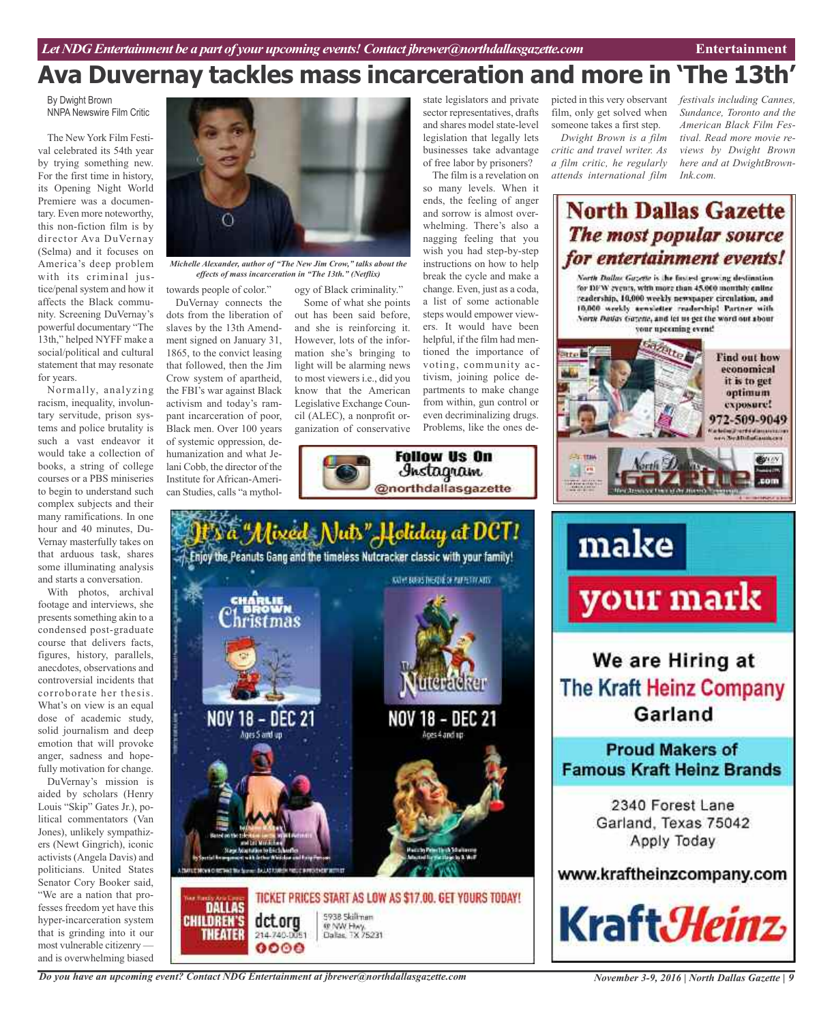# **Ava Duvernay tackles mass incarceration and more in 'The 13th'**

By Dwight Brown NNPA Newswire Film Critic

The New York Film Festival celebrated its 54th year by trying something new. For the first time in history, its Opening Night World Premiere was a documentary. Even more noteworthy, this non-fiction film is by director Ava DuVernay (Selma) and it focuses on America's deep problem with its criminal justice/penal system and how it affects the Black community. Screening DuVernay's powerful documentary "The 13th," helped NYFF make a social/political and cultural statement that may resonate for years.

Normally, analyzing racism, inequality, involuntary servitude, prison systems and police brutality is such a vast endeavor it would take a collection of books, a string of college courses or a PBS miniseries to begin to understand such complex subjects and their many ramifications. In one hour and 40 minutes, Du-Vernay masterfully takes on that arduous task, shares some illuminating analysis and starts a conversation.

With photos, archival footage and interviews, she presents something akin to a condensed post-graduate course that delivers facts, figures, history, parallels, anecdotes, observations and controversial incidents that corroborate her thesis. What's on view is an equal dose of academic study, solid journalism and deep emotion that will provoke anger, sadness and hopefully motivation for change.

DuVernay's mission is aided by scholars (Henry Louis "Skip" Gates Jr.), political commentators (Van Jones), unlikely sympathizers (Newt Gingrich), iconic activists (Angela Davis) and politicians. United States Senator Cory Booker said, "We are a nation that professes freedom yet have this hyper-incarceration system that is grinding into it our most vulnerable citizenry and is overwhelming biased



*Michelle Alexander, author of "The New Jim Crow," talks about the effects of mass incarceration in "The 13th." (Netflix)*

towards people of color." DuVernay connects the dots from the liberation of slaves by the 13th Amendment signed on January 31, 1865, to the convict leasing that followed, then the Jim Crow system of apartheid, the FBI's war against Black activism and today's rampant incarceration of poor, Black men. Over 100 years of systemic oppression, dehumanization and what Jelani Cobb, the director of the Institute for African-American Studies, calls "a mythol-

ogy of Black criminality." Some of what she points out has been said before, and she is reinforcing it. However, lots of the information she's bringing to light will be alarming news to most viewers i.e., did you know that the American Legislative Exchange Council (ALEC), a nonprofit or-

ganization of conservative

state legislators and private sector representatives, drafts and shares model state-level legislation that legally lets businesses take advantage of free labor by prisoners?

The film is a revelation on so many levels. When it ends, the feeling of anger and sorrow is almost overwhelming. There's also a nagging feeling that you wish you had step-by-step instructions on how to help break the cycle and make a change. Even, just as a coda, a list of some actionable steps would empower viewers. It would have been helpful, if the film had mentioned the importance of voting, community activism, joining police departments to make change from within, gun control or even decriminalizing drugs. Problems, like the ones de-

**Follow Us On** Instagram

KATHE BARKS THERENE OF PAPPETRY ARTS

NOV 18 - DEC 21

Aces 4 and 10

film, only get solved when someone takes a first step. *Dwight Brown is a film*

*critic and travel writer. As a film critic, he regularly attends international film*

picted in this very observant

*festivals including Cannes, Sundance, Toronto and the American Black Film Festival. Read more movie reviews by Dwight Brown here and at DwightBrown-Ink.com.*

**North Dallas Gazette** 



*Do you have an upcoming event? Contact NDG Entertainment at jbrewer@northdallasgazette.com*

**DALLAS** 

**THEATER** 

**CHILDREN'S** 

vs cinz wid to Sunni buustonde vaggannochterat

dct.org

214-740-0051  $0000$ 

5938 Skillman

@ NW Hwy.<br>Dallas, TX 75231

NOV 18 – DEC 21

haes 5 and un

*November 3-9, 2016 | North Dallas Gazette | 9*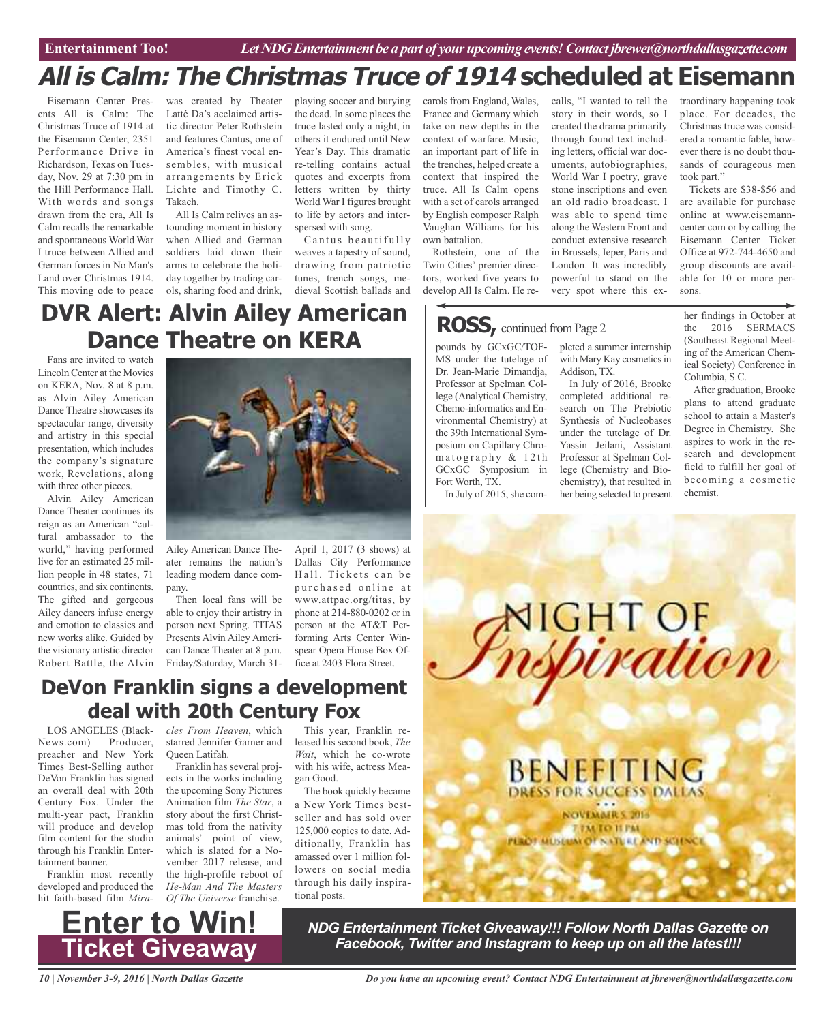# **All is Calm: The Christmas Truce of 1914 scheduled at Eisemann**

Eisemann Center Presents All is Calm: The Christmas Truce of 1914 at the Eisemann Center, 2351 Performance Drive in Richardson, Texas on Tuesday, Nov. 29 at 7:30 pm in the Hill Performance Hall. With words and songs drawn from the era, All Is Calm recalls the remarkable and spontaneous World War I truce between Allied and German forces in No Man's Land over Christmas 1914. This moving ode to peace

was created by Theater Latté Da's acclaimed artistic director Peter Rothstein and features Cantus, one of America's finest vocal ensembles, with musical arrangements by Erick Lichte and Timothy C. Takach.

All Is Calm relives an astounding moment in history when Allied and German soldiers laid down their arms to celebrate the holiday together by trading carols, sharing food and drink, playing soccer and burying the dead. In some places the truce lasted only a night, in others it endured until New Year's Day. This dramatic re-telling contains actual quotes and excerpts from letters written by thirty World War I figures brought to life by actors and interspersed with song.

Cantus beautifully weaves a tapestry of sound, drawing from patriotic tunes, trench songs, medieval Scottish ballads and

carols from England, Wales, France and Germany which take on new depths in the context of warfare. Music, an important part of life in the trenches, helped create a context that inspired the truce. All Is Calm opens with a set of carols arranged by English composer Ralph Vaughan Williams for his own battalion.

Rothstein, one of the Twin Cities' premier directors, worked five years to develop All Is Calm. He re-

# ROSS, continued from Page 2

pounds by GCxGC/TOF-pleted a summer internship MS under the tutelage of Dr. Jean-Marie Dimandja, Professor at Spelman College (Analytical Chemistry, Chemo-informatics and Environmental Chemistry) at the 39th International Symposium on Capillary Chromatography & 12th GCxGC Symposium in Fort Worth, TX.

In July of 2015, she com-

calls, "I wanted to tell the story in their words, so I created the drama primarily through found text including letters, official war documents, autobiographies, World War I poetry, grave stone inscriptions and even an old radio broadcast. I was able to spend time along the Western Front and conduct extensive research in Brussels, Ieper, Paris and London. It was incredibly powerful to stand on the very spot where this ex-

traordinary happening took place. For decades, the Christmas truce was considered a romantic fable, however there is no doubt thousands of courageous men took part."

Tickets are \$38-\$56 and are available for purchase online at www.eisemanncenter.com or by calling the Eisemann Center Ticket Office at 972-744-4650 and group discounts are available for 10 or more persons.

her findings in October at the 2016 SERMACS (Southeast Regional Meeting of the American Chemical Society) Conference in Columbia, S.C.

After graduation, Brooke plans to attend graduate school to attain a Master's Degree in Chemistry. She aspires to work in the research and development field to fulfill her goal of becoming a cosmetic chemist.

# **DVR Alert: Alvin Ailey American Dance Theatre on KERA**

Fans are invited to watch Lincoln Center at the Movies on KERA, Nov. 8 at 8 p.m. as Alvin Ailey American Dance Theatre showcases its spectacular range, diversity and artistry in this special presentation, which includes the company's signature work, Revelations, along with three other pieces.

Alvin Ailey American Dance Theater continues its reign as an American "cultural ambassador to the world," having performed live for an estimated 25 million people in 48 states, 71 countries, and six continents. The gifted and gorgeous Ailey dancers infuse energy and emotion to classics and new works alike. Guided by the visionary artistic director Robert Battle, the Alvin



Ailey American Dance Theater remains the nation's leading modern dance company.

Then local fans will be able to enjoy their artistry in person next Spring. TITAS Presents Alvin Ailey American Dance Theater at 8 p.m. Friday/Saturday, March 31-

April 1, 2017 (3 shows) at Dallas City Performance Hall. Tickets can be purchased online at www.attpac.org/titas, by phone at 214-880-0202 or in person at the AT&T Performing Arts Center Winspear Opera House Box Office at 2403 Flora Street.

### **DeVon Franklin signs a development deal with 20th Century Fox**

LOS ANGELES (Black-News.com) — Producer, preacher and New York Times Best-Selling author DeVon Franklin has signed an overall deal with 20th Century Fox. Under the multi-year pact, Franklin will produce and develop film content for the studio through his Franklin Entertainment banner.

Franklin most recently developed and produced the hit faith-based film *Mira-* *cles From Heaven*, which starred Jennifer Garner and Queen Latifah.

Franklin has several projects in the works including the upcoming Sony Pictures Animation film *The Star*, a story about the first Christmas told from the nativity animals' point of view, which is slated for a November 2017 release, and the high-profile reboot of *He-Man And The Masters Of The Universe* franchise.

This year, Franklin released his second book, *The Wait*, which he co-wrote with his wife, actress Meagan Good.

The book quickly became a New York Times bestseller and has sold over 125,000 copies to date. Additionally, Franklin has amassed over 1 million followers on social media through his daily inspirational posts.



*NDG Entertainment Ticket Giveaway!!! Follow North Dallas Gazette on Facebook, Twitter and Instagram to keep up on all the latest!!!*

*10 | November 3-9, 2016 | North Dallas Gazette*

**Enter to Win!**

**Ticket Giveaway**

*Do you have an upcoming event? Contact NDG Entertainment at jbrewer@northdallasgazette.com*

with Mary Kay cosmetics in Addison, TX.

In July of 2016, Brooke completed additional research on The Prebiotic Synthesis of Nucleobases under the tutelage of Dr.

Yassin Jeilani, Assistant Professor at Spelman College (Chemistry and Biochemistry), that resulted in her being selected to present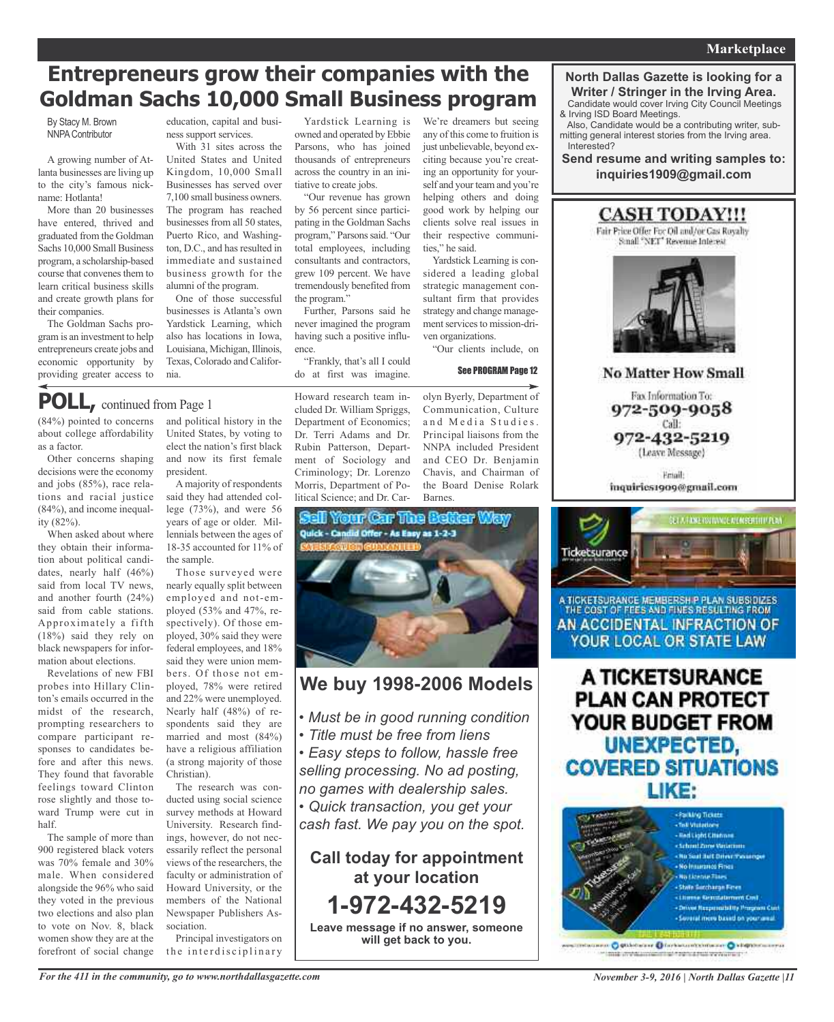#### **Marketplace**

**North Dallas Gazette is looking for a**

**Writer / Stringer in the Irving Area.** Candidate would cover Irving City Council Meetings

Also, Candidate would be a contributing writer, submitting general interest stories from the Irving area.

**Send resume and writing samples to: inquiries1909@gmail.com**

> **CASH TODAY!!!** Fair Price Offer For Oil and/or Cas Royalty Small "NET" Revenue Interest

**No Matter How Small** 

Fax Information To: 972-509-9058 Call: 972-432-5219 (Leave Message)

**Email** inquiries1909@gmail.com

ETA FANE YOURNIGE AVEN BEREHTY PENA

& Irving ISD Board Meetings.

Interested?

# **Entrepreneurs grow their companies with the Goldman Sachs 10,000 Small Business program**

By Stacy M. Brown NNPAContributor

A growing number of Atlanta businesses are living up to the city's famous nickname: Hotlanta!

More than 20 businesses have entered, thrived and graduated from the Goldman Sachs 10,000 Small Business program, a scholarship-based course that convenes them to learn critical business skills and create growth plans for their companies.

The Goldman Sachs program is an investment to help entrepreneurs create jobs and economic opportunity by providing greater access to education, capital and business support services.

With 31 sites across the United States and United Kingdom, 10,000 Small Businesses has served over 7,100 small business owners. The program has reached businesses from all 50 states, Puerto Rico, and Washington, D.C., and has resulted in immediate and sustained business growth for the alumni of the program.

One of those successful businesses is Atlanta's own Yardstick Learning, which also has locations in Iowa, Louisiana, Michigan, Illinois, Texas, Colorado and California.

Yardstick Learning is owned and operated by Ebbie Parsons, who has joined thousands of entrepreneurs across the country in an initiative to create jobs.

"Our revenue has grown by 56 percent since participating in the Goldman Sachs program," Parsons said. "Our total employees, including consultants and contractors, grew 109 percent. We have tremendously benefited from the program."

Further, Parsons said he never imagined the program having such a positive influence.

"Frankly, that's all I could do at first was imagine.

any of this come to fruition is just unbelievable, beyond exciting because you're creating an opportunity for yourself and your team and you're helping others and doing good work by helping our clients solve real issues in their respective communities," he said.

We're dreamers but seeing

Yardstick Learning is considered a leading global strategic management consultant firm that provides strategy and change management services to mission-driven organizations. "Our clients include, on

See PROGRAM Page 12

**POLL,** continued from Page <sup>1</sup>

(84%) pointed to concerns about college affordability as a factor.

Other concerns shaping decisions were the economy and jobs (85%), race relations and racial justice (84%), and income inequality (82%).

When asked about where they obtain their information about political candidates, nearly half (46%) said from local TV news, and another fourth (24%) said from cable stations. Approximately a fifth (18%) said they rely on black newspapers for information about elections.

Revelations of new FBI probes into Hillary Clinton's emails occurred in the midst of the research, prompting researchers to compare participant responses to candidates before and after this news. They found that favorable feelings toward Clinton rose slightly and those toward Trump were cut in half.

The sample of more than 900 registered black voters was 70% female and 30% male. When considered alongside the 96% who said they voted in the previous two elections and also plan to vote on Nov. 8, black women show they are at the forefront of social change

and political history in the United States, by voting to elect the nation's first black and now its first female president.

Amajority of respondents said they had attended college (73%), and were 56 years of age or older. Millennials between the ages of 18-35 accounted for 11% of the sample.

Those surveyed were nearly equally split between employed and not-employed (53% and 47%, respectively). Of those employed, 30% said they were federal employees, and 18% said they were union members. Of those not employed, 78% were retired and 22% were unemployed. Nearly half (48%) of respondents said they are married and most (84%) have a religious affiliation (a strong majority of those Christian).

The research was conducted using social science survey methods at Howard University. Research findings, however, do not necessarily reflect the personal views of the researchers, the faculty or administration of Howard University, or the members of the National Newspaper Publishers Association.

Principal investigators on the interdisciplinary

Howard research team included Dr. William Spriggs, Department of Economics; Dr. Terri Adams and Dr. Rubin Patterson, Department of Sociology and Criminology; Dr. Lorenzo Morris, Department of Political Science; and Dr. Car-

iell Your Car The Belier Way Quick - Candid Offer - As Easy as 1-2-3

### **We buy 1998-2006 Models**

- *• Must be in good running condition*
- *• Title must be free from liens*
- *• Easy steps to follow, hassle free selling processing. No ad posting, no games with dealership sales.*

*• Quick transaction, you get your cash fast. We pay you on the spot.*

**Call today for appointment at your location 1-972-432-5219 Leave message if no answer, someone will get back to you.**

*For the 411 in the community, go to www.northdallasgazette.com*



Ticketsurance

YOUR BUDGET FROM UNEXPECTED, **COVERED SITUATIONS** LIKE:



nen Ostleterer Oferhetentromene Oktoportuurren to the complete continue of the first that members is

olyn Byerly, Department of Communication, Culture and Media Studies. Principal liaisons from the NNPA included President and CEO Dr. Benjamin Chavis, and Chairman of the Board Denise Rolark Barnes.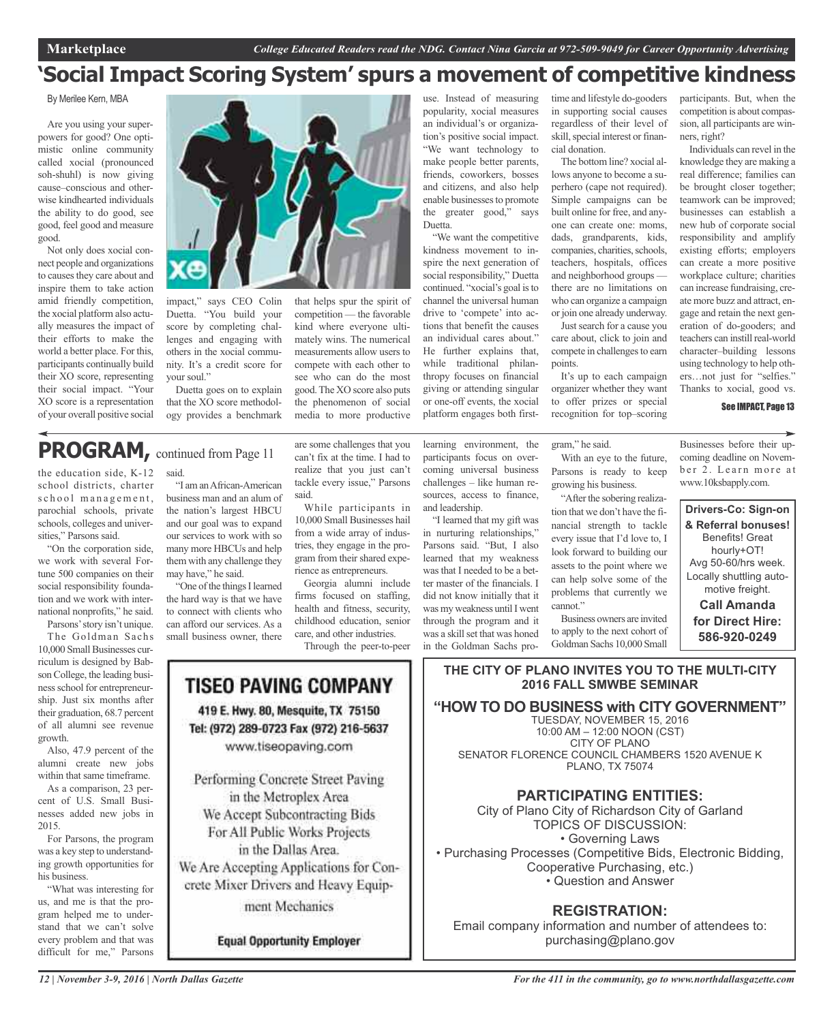# **'Social Impact Scoring System' spurs a movement of competitive kindness**

By Merilee Kern, MBA

Are you using your superpowers for good? One optimistic online community called xocial (pronounced soh-shuhl) is now giving cause–conscious and otherwise kindhearted individuals the ability to do good, see good, feel good and measure good.

Not only does xocial connect people and organizations to causes they care about and inspire them to take action amid friendly competition, the xocial platform also actually measures the impact of their efforts to make the world a better place. For this, participants continually build their XO score, representing their social impact. "Your XO score is a representation of your overall positive social



impact," says CEO Colin Duetta. "You build your score by completing challenges and engaging with others in the xocial community. It's a credit score for your soul."

Duetta goes on to explain that the XO score methodology provides a benchmark

use. Instead of measuring popularity, xocial measures an individual's or organization's positive social impact. "We want technology to make people better parents, friends, coworkers, bosses and citizens, and also help enable businesses to promote the greater good," says Duetta. "We want the competitive

kindness movement to inspire the next generation of social responsibility," Duetta continued. "xocial's goal isto channel the universal human drive to 'compete' into actions that benefit the causes an individual cares about." He further explains that, while traditional philanthropy focuses on financial giving or attending singular or one-off events, the xocial platform engages both first-

time and lifestyle do-gooders in supporting social causes regardless of their level of skill, special interest or financial donation.

The bottom line? xocial allows anyone to become a superhero (cape not required). Simple campaigns can be built online for free, and anyone can create one: moms, dads, grandparents, kids, companies, charities, schools, teachers, hospitals, offices and neighborhood groups there are no limitations on who can organize a campaign

or join one already underway. Just search for a cause you care about, click to join and compete in challenges to earn points.

It's up to each campaign organizer whether they want to offer prizes or special recognition for top–scoring participants. But, when the competition is about compassion, all participants are winners, right?

Individuals can revel in the knowledge they are making a real difference; families can be brought closer together; teamwork can be improved; businesses can establish a new hub of corporate social responsibility and amplify existing efforts; employers can create a more positive workplace culture; charities can increase fundraising, create more buzz and attract, engage and retain the next generation of do-gooders; and teachers can instill real-world character–building lessons using technology to help others…not just for "selfies." Thanks to xocial, good vs.

#### See IMPACT, Page 13

### PROGRAM, continued from Page 11

the education side, K-12 school districts, charter school management, parochial schools, private schools, colleges and universities," Parsons said.

"On the corporation side, we work with several Fortune 500 companies on their social responsibility foundation and we work with international nonprofits," he said.

Parsons'story isn't unique. The Goldman Sachs 10,000 Small Businesses curriculum is designed by BabsonCollege, the leading businessschool for entrepreneurship. Just six months after

their graduation, 68.7 percent of all alumni see revenue growth.

Also, 47.9 percent of the alumni create new jobs within that same timeframe.

As a comparison, 23 percent of U.S. Small Businesses added new jobs in 2015.

For Parsons, the program was a key step to understanding growth opportunities for his business.

"What was interesting for us, and me is that the program helped me to understand that we can't solve every problem and that was difficult for me," Parsons

said.

"I amanAfrican-American business man and an alum of the nation's largest HBCU and our goal was to expand our services to work with so many more HBCUs and help them with any challenge they may have," he said.

"One of the things I learned the hard way is that we have to connect with clients who can afford our services. As a small business owner, there

are some challenges that you can't fix at the time. I had to realize that you just can't tackle every issue," Parsons said.

that helps spur the spirit of competition — the favorable kind where everyone ultimately wins. The numerical measurements allow users to compete with each other to see who can do the most good.The XO score also puts the phenomenon of social media to more productive

While participants in 10,000 Small Businesses hail from a wide array of industries, they engage in the program from their shared experience as entrepreneurs.

Georgia alumni include firms focused on staffing, health and fitness, security, childhood education, senior care, and other industries.

Through the peer-to-peer

TISEO PAVING COMPANY 419 E. Hwy. 80, Mesquite, TX 75150 Tel: (972) 289-0723 Fax (972) 216-5637 www.tiseopaving.com Performing Concrete Street Paving in the Metroplex Area We Accept Subcontracting Bids For All Public Works Projects in the Dallas Area. We Are Accepting Applications for Concrete Mixer Drivers and Heavy Equipment Mechanics

**Equal Opportunity Employer** 

learning environment, the participants focus on overcoming universal business challenges – like human resources, access to finance, and leadership.

"I learned that my gift was in nurturing relationships," Parsons said. "But, I also learned that my weakness was that I needed to be a better master of the financials. I did not know initially that it was my weakness until I went through the program and it was a skill set that was honed in the Goldman Sachs pro-

gram," he said. With an eye to the future, Parsons is ready to keep growing his business.

> "After the sobering realization that we don't have the financial strength to tackle every issue that I'd love to, I look forward to building our assets to the point where we can help solve some of the problems that currently we cannot."

> Business owners are invited to apply to the next cohort of Goldman Sachs 10,000 Small

Businesses before their upcoming deadline on November 2. Learn more at www.10ksbapply.com.

**Drivers-Co: Sign-on & Referral bonuses!** Benefits! Great hourly+OT! Avg 50-60/hrs week. Locally shuttling automotive freight. **Call Amanda**

**for Direct Hire: 586-920-0249**

**THE CITY OF PLANO INVITES YOU TO THE MULTI-CITY 2016 FALL SMWBE SEMINAR**

# **"HOW TO DO BUSINESS with CITY GOVERNMENT"** TUESDAY, NOVEMBER 15, <sup>2016</sup>

10:00 AM – 12:00 NOON (CST) CITY OF PLANO SENATOR FLORENCE COUNCIL CHAMBERS 1520 AVENUE K PLANO, TX 75074

#### **PARTICIPATING ENTITIES:**

City of Plano City of Richardson City of Garland TOPICS OF DISCUSSION: • Governing Laws • Purchasing Processes (Competitive Bids, Electronic Bidding, Cooperative Purchasing, etc.) • Question and Answer

#### **REGISTRATION:**

Email company information and number of attendees to: purchasing@plano.gov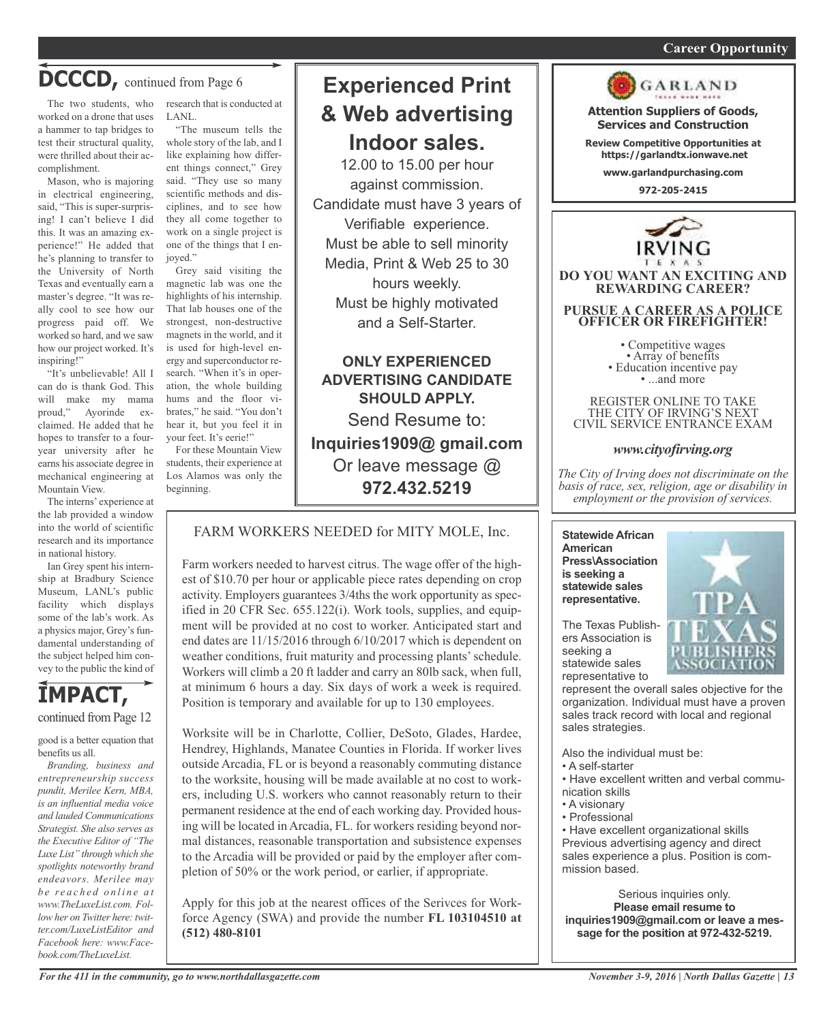#### *On a quest for qualified candidates? Contact Nina Garcia at 972-509-9049* **Career Opportunity**

# **DCCCD,** continued from Page <sup>6</sup>

The two students, who worked on a drone that uses a hammer to tap bridges to test their structural quality, were thrilled about their accomplishment.

Mason, who is majoring in electrical engineering, said, "This is super-surprising! I can't believe I did this. It was an amazing experience!" He added that he's planning to transfer to the University of North Texas and eventually earn a master's degree. "It was really cool to see how our progress paid off. We worked so hard, and we saw how our project worked. It's inspiring!"

"It's unbelievable! All I can do is thank God. This will make my mama proud," Ayorinde exclaimed. He added that he hopes to transfer to a fouryear university after he earns his associate degree in mechanical engineering at Mountain View.

The interns' experience at the lab provided a window into the world of scientific research and its importance in national history.

Ian Grey spent his internship at Bradbury Science Museum, LANL's public facility which displays some of the lab's work. As a physics major, Grey's fundamental understanding of the subject helped him convey to the public the kind of

**IMPACT,**

continued from Page 12

good is a better equation that benefits us all.

*Branding, business and entrepreneurship success pundit, Merilee Kern, MBA, is an influential media voice and lauded Communications Strategist. She also serves as the Executive Editor of "The Luxe List" throughwhich she spotlights noteworthy brand endeavors. Merilee may b e r e a c h e d o n l i n e a t www.TheLuxeList.com. Follow her on Twitter here: twitter.com/LuxeListEditor and Facebook here: www.Facebook.com/TheLuxeList.*

research that is conducted at LANL.

"The museum tells the whole story of the lab, and I like explaining how different things connect," Grey said. "They use so many scientific methods and disciplines, and to see how they all come together to work on a single project is one of the things that I enjoyed."

Grey said visiting the magnetic lab was one the highlights of his internship. That lab houses one of the strongest, non-destructive magnets in the world, and it is used for high-level energy and superconductor research. "When it's in operation, the whole building hums and the floor vibrates," he said. "You don't hear it, but you feel it in your feet. It's eerie!"

For these Mountain View students, their experience at Los Alamos was only the beginning.

# **Experienced Print & Web advertising Indoor sales.**

12.00 to 15.00 per hour against commission. Candidate must have 3 years of Verifiable experience. Must be able to sell minority Media, Print & Web 25 to 30 hours weekly. Must be highly motivated and a Self-Starter.

**ONLY EXPERIENCED ADVERTISING CANDIDATE SHOULD APPLY.** Send Resume to: **Inquiries1909@ gmail.com** Or leave message @ **972.432.5219**

#### FARM WORKERS NEEDED for MITY MOLE, Inc.

Farm workers needed to harvest citrus. The wage offer of the highest of \$10.70 per hour or applicable piece rates depending on crop activity. Employers guarantees 3/4ths the work opportunity as specified in 20 CFR Sec. 655.122(i). Work tools, supplies, and equipment will be provided at no cost to worker. Anticipated start and end dates are 11/15/2016 through 6/10/2017 which is dependent on weather conditions, fruit maturity and processing plants'schedule. Workers will climb a 20 ft ladder and carry an 80lb sack, when full, at minimum 6 hours a day. Six days of work a week is required. Position is temporary and available for up to 130 employees.

Worksite will be in Charlotte, Collier, DeSoto, Glades, Hardee, Hendrey, Highlands, Manatee Counties in Florida. If worker lives outside Arcadia, FL or is beyond a reasonably commuting distance to the worksite, housing will be made available at no cost to workers, including U.S. workers who cannot reasonably return to their permanent residence at the end of each working day. Provided housing will be located in Arcadia, FL. for workers residing beyond normal distances, reasonable transportation and subsistence expenses to the Arcadia will be provided or paid by the employer after completion of 50% or the work period, or earlier, if appropriate.

Apply for this job at the nearest offices of the Serivces for Workforce Agency (SWA) and provide the number **FL 103104510 at (512) 480-8101**



*www.cityofirving.org*

*The City of Irving does not discriminate on the basis of race, sex, religion, age or disability in employment or the provision of services.*

**Statewide African American Press\Association is seeking a statewide sales representative.**

The Texas Publishers Association is seeking a statewide sales representative to



represent the overall sales objective for the organization. Individual must have a proven sales track record with local and regional sales strategies.

Also the individual must be:

- A self-starter
- Have excellent written and verbal communication skills
- A visionary
- Professional

• Have excellent organizational skills Previous advertising agency and direct sales experience a plus. Position is commission based.

Serious inquiries only. **Please email resume to inquiries1909@gmail.com or leave a message for the position at 972-432-5219.**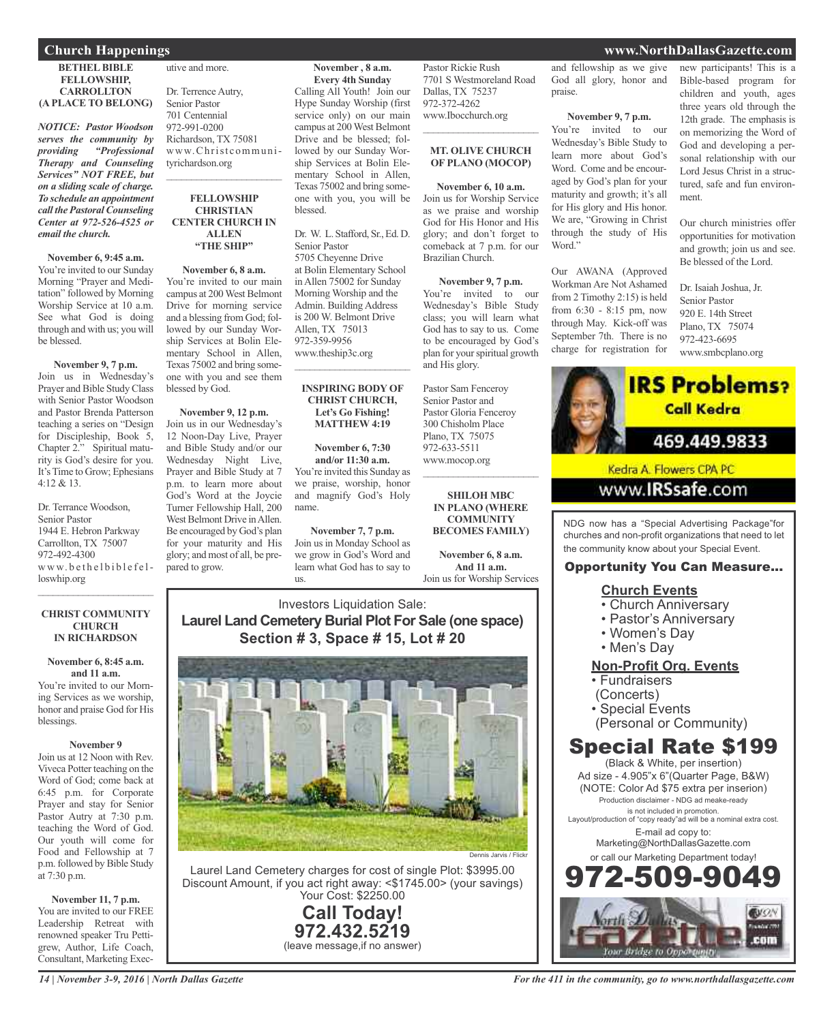#### **BETHEL BIBLE FELLOWSHIP, CARROLLTON (A PLACE TO BELONG)**

*NOTICE: Pastor Woodson serves the community by providing "Professional Therapy and Counseling Services" NOT FREE, but on a sliding scale of charge. To schedule an appointment call the Pastoral Counseling Center at 972-526-4525 or email the church.*

#### **November 6, 9:45 a.m.**

You're invited to our Sunday Morning "Prayer and Meditation" followed by Morning Worship Service at 10 a.m. See what God is doing through and with us; you will be blessed.

#### **November 9, 7 p.m.**

Join us in Wednesday's Prayer and Bible Study Class with Senior Pastor Woodson and Pastor Brenda Patterson teaching a series on "Design for Discipleship, Book 5, Chapter 2." Spiritual maturity is God's desire for you. It's Time to Grow; Ephesians 4:12 & 13.

Dr. Terrance Woodson, Senior Pastor 1944 E. Hebron Parkway Carrollton, TX 75007 972-492-4300 www.bethelbiblefelloswhip.org

#### **CHRIST COMMUNITY CHURCH IN RICHARDSON**

\_\_\_\_\_\_\_\_\_\_\_\_\_\_\_\_\_\_\_\_\_\_\_

**November 6, 8:45 a.m. and 11 a.m.** You're invited to our Morning Services as we worship, honor and praise God for His blessings.

#### **November 9**

Join us at 12 Noon with Rev. Viveca Potter teaching on the Word of God; come back at 6:45 p.m. for Corporate Prayer and stay for Senior Pastor Autry at 7:30 p.m. teaching the Word of God. Our youth will come for Food and Fellowship at 7 p.m. followed by Bible Study at 7:30 p.m.

#### **November 11, 7 p.m.**

You are invited to our FREE Leadership Retreat with renowned speaker Tru Pettigrew, Author, Life Coach, Consultant, Marketing Exec-

utive and more.

Dr. Terrence Autry, Senior Pastor 701 Centennial 972-991-0200 Richardson, TX 75081 www.Christcommunityrichardson.org  $\overline{\phantom{a}}$  ,  $\overline{\phantom{a}}$  ,  $\overline{\phantom{a}}$  ,  $\overline{\phantom{a}}$  ,  $\overline{\phantom{a}}$  ,  $\overline{\phantom{a}}$  ,  $\overline{\phantom{a}}$  ,  $\overline{\phantom{a}}$  ,  $\overline{\phantom{a}}$  ,  $\overline{\phantom{a}}$  ,  $\overline{\phantom{a}}$  ,  $\overline{\phantom{a}}$  ,  $\overline{\phantom{a}}$  ,  $\overline{\phantom{a}}$  ,  $\overline{\phantom{a}}$  ,  $\overline{\phantom{a}}$ 

#### **FELLOWSHIP CHRISTIAN CENTER CHURCH IN ALLEN "THE SHIP"**

**November 6, 8 a.m.** You're invited to our main campus at 200West Belmont Drive for morning service and a blessing from God; followed by our Sunday Worship Services at Bolin Elementary School in Allen, Texas 75002 and bring someone with you and see them blessed by God.

**November 9, 12 p.m.** Join us in our Wednesday's 12 Noon-Day Live, Prayer and Bible Study and/or our Wednesday Night Live, Prayer and Bible Study at 7 p.m. to learn more about God's Word at the Joycie Turner Fellowship Hall, 200 West Belmont Drive in Allen. Be encouraged by God's plan for your maturity and His glory; and most of all, be prepared to grow.

#### **November , 8 a.m. Every 4th Sunday**

Calling All Youth! Join our Hype Sunday Worship (first service only) on our main campus at 200 West Belmont Drive and be blessed; followed by our Sunday Worship Services at Bolin Elementary School in Allen, Texas 75002 and bring someone with you, you will be blessed.

Dr. W. L. Stafford, Sr., Ed. D. Senior Pastor 5705 Cheyenne Drive

at Bolin Elementary School in Allen 75002 for Sunday Morning Worship and the Admin. Building Address is 200 W. Belmont Drive Allen, TX 75013 972-359-9956 www.theship3c.org  $\overline{\phantom{a}}$  ,  $\overline{\phantom{a}}$  ,  $\overline{\phantom{a}}$  ,  $\overline{\phantom{a}}$  ,  $\overline{\phantom{a}}$  ,  $\overline{\phantom{a}}$  ,  $\overline{\phantom{a}}$  ,  $\overline{\phantom{a}}$  ,  $\overline{\phantom{a}}$  ,  $\overline{\phantom{a}}$  ,  $\overline{\phantom{a}}$  ,  $\overline{\phantom{a}}$  ,  $\overline{\phantom{a}}$  ,  $\overline{\phantom{a}}$  ,  $\overline{\phantom{a}}$  ,  $\overline{\phantom{a}}$ 

#### **INSPIRING BODY OF CHRIST CHURCH, Let's Go Fishing! MATTHEW 4:19**

**November 6, 7:30 and/or 11:30 a.m.** You're invited this Sunday as we praise, worship, honor and magnify God's Holy name.

**November 7, 7 p.m.** Join us in Monday School as we grow in God's Word and learn what God has to say to us.

Pastor Rickie Rush 7701 S Westmoreland Road Dallas, TX 75237 972-372-4262 www.Ibocchurch.org

#### **MT. OLIVE CHURCH OF PLANO (MOCOP)**

 $\overline{\phantom{a}}$  , and the set of the set of the set of the set of the set of the set of the set of the set of the set of the set of the set of the set of the set of the set of the set of the set of the set of the set of the s

**November 6, 10 a.m.** Join us for Worship Service as we praise and worship God for His Honor and His glory; and don't forget to comeback at 7 p.m. for our Brazilian Church.

**November 9, 7 p.m.** You're invited to our Wednesday's Bible Study class; you will learn what God has to say to us. Come to be encouraged by God's plan for yourspiritual growth and His glory.

Pastor Sam Fenceroy Senior Pastor and Pastor Gloria Fenceroy 300 Chisholm Place Plano, TX 75075 972-633-5511 www.mocop.org

> **SHILOH MBC IN PLANO (WHERE COMMUNITY BECOMES FAMILY)**

\_\_\_\_\_\_\_\_\_\_\_\_\_\_\_\_\_\_\_\_\_\_\_

**November 6, 8 a.m. And 11 a.m.** Join us for Worship Services

Investors Liquidation Sale: **Laurel Land Cemetery Burial Plot For Sale (one space) Section # 3, Space # 15, Lot # 20**



Laurel Land Cemetery charges for cost of single Plot: \$3995.00 Discount Amount, if you act right away: <\$1745.00> (your savings) Your Cost: \$2250.00

> **Call Today! 972.432.5219** (leave message,if no answer)

and fellowship as we give God all glory, honor and praise.

#### **November 9, 7 p.m.**

You're invited to our Wednesday's Bible Study to learn more about God's Word. Come and be encouraged by God's plan for your maturity and growth; it's all for His glory and His honor. We are, "Growing in Christ through the study of His Word."

Our AWANA (Approved Workman Are Not Ashamed from 2 Timothy 2:15) is held from 6:30 - 8:15 pm, now through May. Kick-off was September 7th. There is no charge for registration for

new participants! This is a Bible-based program for children and youth, ages three years old through the 12th grade. The emphasis is on memorizing the Word of God and developing a personal relationship with our Lord Jesus Christ in a structured, safe and fun environment.

Our church ministries offer opportunities for motivation and growth; join us and see. Be blessed of the Lord.

Dr. Isaiah Joshua, Jr. Senior Pastor 920 E. 14th Street Plano, TX 75074 972-423-6695 www.smbcplano.org



www.**IRSsafe.com** 

NDG now has a "Special Advertising Package"for churches and non-profit organizations that need to let the community know about your Special Event.

#### Opportunity You Can Measure...

#### **Church Events**

- Church Anniversary
- Pastor's Anniversary
- Women's Day
- Men's Day

#### **Non-Profit Org. Events**

- Fundraisers
- (Concerts)
- Special Events
- (Personal or Community)

### Special Rate \$199

(Black & White, per insertion) Ad size - 4.905"x 6"(Quarter Page, B&W) (NOTE: Color Ad \$75 extra per inserion) Production disclaimer - NDG ad meake-ready is not included in promotion. Layout/production of "copy ready"ad will be a nominal extra cost. E-mail ad copy to: Marketing@NorthDallasGazette.com or call our Marketing Department today! 972-509-9049



#### **Church Happenings www.NorthDallasGazette.com**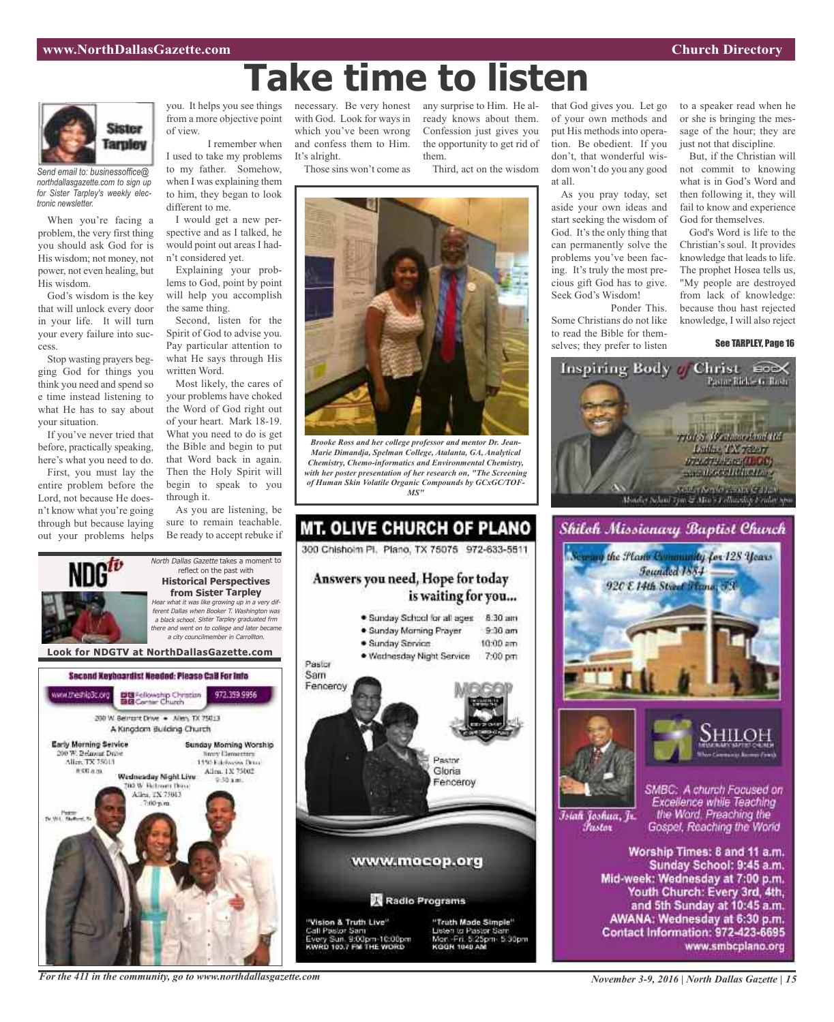# **Take time to listen**



*Send email to: businessoffice@ northdallasgazette.com to sign up for Sister Tarpley's weekly electronic newsletter.*

When you're facing a problem, the very first thing you should ask God for is His wisdom; not money, not power, not even healing, but His wisdom.

God's wisdom is the key that will unlock every door in your life. It will turn your every failure into success.

Stop wasting prayers begging God for things you think you need and spend so e time instead listening to what He has to say about your situation.

If you've never tried that before, practically speaking, here's what you need to do.

First, you must lay the entire problem before the Lord, not because He doesn't know what you're going through but because laying out your problems helps

from a more objective point of view.

I remember when I used to take my problems to my father. Somehow, when I was explaining them to him, they began to look different to me.

I would get a new perspective and as I talked, he would point out areas I hadn't considered yet.

Explaining your problems to God, point by point will help you accomplish the same thing.

Second, listen for the Spirit of God to advise you. Pay particular attention to what He says through His written Word.

Most likely, the cares of your problems have choked the Word of God right out of your heart. Mark 18-19. What you need to do is get the Bible and begin to put that Word back in again. Then the Holy Spirit will begin to speak to you through it.

As you are listening, be sure to remain teachable. Be ready to accept rebuke if

North Dallas Gazette takes a moment to reflect on the past with **Historical Perspectives from Sister Tarpley** Hear what it was like growing up in <sup>a</sup> very different Dallas when Booker T. Washington was

you. It helps you see things necessary. Be very honest with God. Look for ways in which you've been wrong and confess them to Him. It's alright.

Those sins won't come as

any surprise to Him. He already knows about them. Confession just gives you the opportunity to get rid of them.

Third, act on the wisdom



*Brooke Ross and her college professor and mentor Dr. Jean-Marie Dimandja, Spelman College, Atalanta, GA, Analytical Chemistry, Chemo-informatics and Environmental Chemistry, with her poster presentation of her research on, "The Screening of Human Skin Volatile Organic Compounds by GCxGC/TOF-MS"*



that God gives you. Let go of your own methods and put His methods into operation. Be obedient. If you don't, that wonderful wisdom won't do you any good at all.

As you pray today, set aside your own ideas and start seeking the wisdom of God. It's the only thing that can permanently solve the problems you've been facing. It's truly the most precious gift God has to give. Seek God's Wisdom!

Ponder This. Some Christians do not like to read the Bible for themselves; they prefer to listen

to a speaker read when he or she is bringing the message of the hour; they are just not that discipline.

But, if the Christian will not commit to knowing what is in God's Word and then following it, they will fail to know and experience God for themselves.

God's Word is life to the Christian's soul. It provides knowledge that leads to life. The prophet Hosea tells us, "My people are destroyed from lack of knowledge: because thou hast rejected knowledge, I will also reject

#### See TARPLEY, Page 16





Worship Times: 8 and 11 a.m. Sunday School: 9:45 a.m. Mid-week: Wednesday at 7:00 p.m. Youth Church: Every 3rd, 4th, and 5th Sunday at 10:45 a.m. AWANA: Wednesday at 6:30 p.m. Contact Information: 972-423-6695 www.smbcplano.org

<sup>a</sup> black school. Sister Tarpley graduated frm there and went on to college and later became <sup>a</sup> city councilmember in Carrollton. **Look for NDGTV at NorthDallasGazette.com** Second Keyboardist Needed: Please CaB For Info DE Fellowship Christian<br>BIB Center Church ww.theshlp3c.org 972.359.9956 200 W. Bernsht Drive . - Allen, TX 75013 A Kingdom Building Church Early Morning Service Sunday Morning Worship 0 W. Belmunt Drive **Nexty Elementary** Alice TX 75013 1450 Ethnologies Drug-Allen, 1X 75002 **图 00 点 图** Wadnasday Night Live **DO W. Retroem Days** Allen, TX 75013 Tv.Wit. New

*For the 411 in the community, go to www.northdallasgazette.com*

*November 3-9, 2016 | North Dallas Gazette | 15*